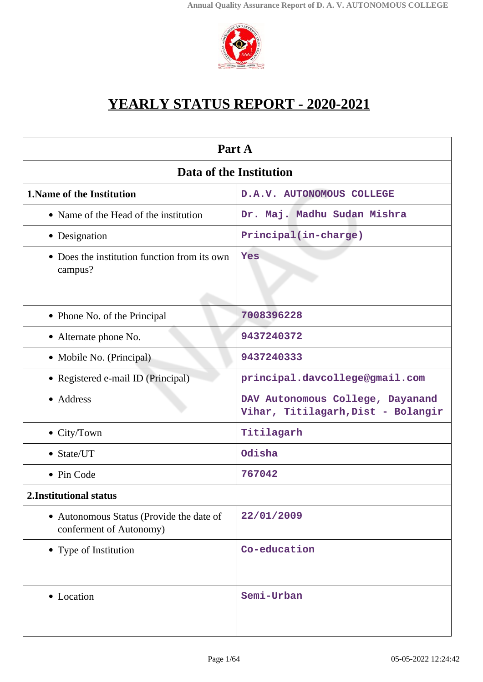

# **YEARLY STATUS REPORT - 2020-2021**

| Part A                                                              |                                                                        |  |  |
|---------------------------------------------------------------------|------------------------------------------------------------------------|--|--|
| Data of the Institution                                             |                                                                        |  |  |
| <b>1. Name of the Institution</b>                                   | D.A.V. AUTONOMOUS COLLEGE                                              |  |  |
| • Name of the Head of the institution                               | Dr. Maj. Madhu Sudan Mishra                                            |  |  |
| • Designation                                                       | Principal(in-charge)                                                   |  |  |
| • Does the institution function from its own<br>campus?             | Yes                                                                    |  |  |
| • Phone No. of the Principal                                        | 7008396228                                                             |  |  |
| • Alternate phone No.                                               | 9437240372                                                             |  |  |
| • Mobile No. (Principal)                                            | 9437240333                                                             |  |  |
| • Registered e-mail ID (Principal)                                  | principal.davcollege@gmail.com                                         |  |  |
| • Address                                                           | DAV Autonomous College, Dayanand<br>Vihar, Titilagarh, Dist - Bolangir |  |  |
| $\bullet$ City/Town                                                 | Titilagarh                                                             |  |  |
| $\bullet$ State/UT                                                  | Odisha                                                                 |  |  |
| • Pin Code                                                          | 767042                                                                 |  |  |
| 2. Institutional status                                             |                                                                        |  |  |
| • Autonomous Status (Provide the date of<br>conferment of Autonomy) | 22/01/2009                                                             |  |  |
| • Type of Institution                                               | Co-education                                                           |  |  |
| • Location                                                          | Semi-Urban                                                             |  |  |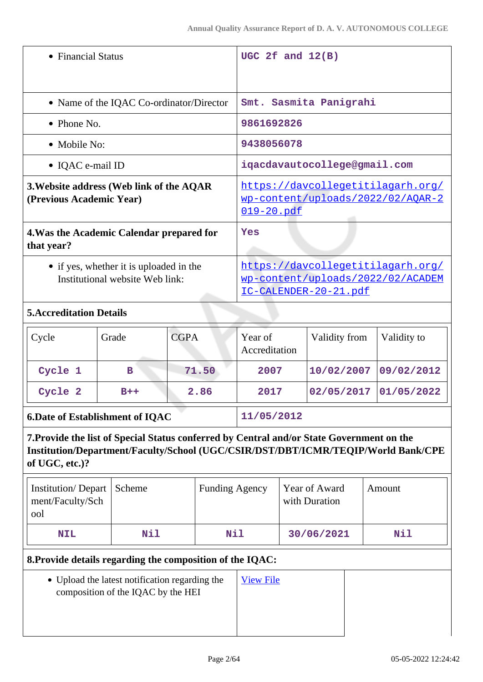| • Financial Status                                                                                                                                                  |                                          | UGC 2f and $12(B)$    |                                                                        |                              |             |
|---------------------------------------------------------------------------------------------------------------------------------------------------------------------|------------------------------------------|-----------------------|------------------------------------------------------------------------|------------------------------|-------------|
|                                                                                                                                                                     | • Name of the IQAC Co-ordinator/Director |                       | Smt. Sasmita Panigrahi                                                 |                              |             |
| • Phone No.                                                                                                                                                         |                                          |                       | 9861692826                                                             |                              |             |
| • Mobile No:                                                                                                                                                        |                                          |                       | 9438056078                                                             |                              |             |
| • IQAC e-mail ID                                                                                                                                                    |                                          |                       |                                                                        | iqacdavautocollege@gmail.com |             |
| https://davcollegetitilagarh.org/<br>3. Website address (Web link of the AQAR<br><u>wp-content/uploads/2022/02/AOAR-2</u><br>(Previous Academic Year)<br>019-20.pdf |                                          |                       |                                                                        |                              |             |
| 4. Was the Academic Calendar prepared for<br>that year?                                                                                                             |                                          | Yes                   |                                                                        |                              |             |
| • if yes, whether it is uploaded in the<br>Institutional website Web link:                                                                                          |                                          | IC-CALENDER-20-21.pdf | https://davcollegetitilagarh.org/<br>wp-content/uploads/2022/02/ACADEM |                              |             |
| <b>5. Accreditation Details</b>                                                                                                                                     |                                          |                       |                                                                        |                              |             |
| Cycle                                                                                                                                                               | Grade                                    | <b>CGPA</b>           | Year of<br>Accreditation                                               | Validity from                | Validity to |
| Cycle 1                                                                                                                                                             | в                                        | 71.50                 | 2007                                                                   | 10/02/2007                   | 09/02/2012  |

| 6.Date of Establishment of IQAC $\,$ | 11/05/2012 |
|--------------------------------------|------------|

**7.Provide the list of Special Status conferred by Central and/or State Government on the Institution/Department/Faculty/School (UGC/CSIR/DST/DBT/ICMR/TEQIP/World Bank/CPE of UGC, etc.)?**

**Cycle 2 B++ 2.86 2017 02/05/2017 01/05/2022**

| Institution/Depart   Scheme<br>ment/Faculty/Sch<br>ool |     | <b>Funding Agency</b> | Year of Award<br>with Duration | Amount |
|--------------------------------------------------------|-----|-----------------------|--------------------------------|--------|
| <b>NIL</b>                                             | Nil | <b>Nil</b>            | 30/06/2021                     | Nil    |

### **8.Provide details regarding the composition of the IQAC:**

Upload the latest notification regarding the composition of the IQAC by the HEI

[View File](https://assessmentonline.naac.gov.in/storage/app/public/aqar/15355/15355_536_159.pdf?1651733680)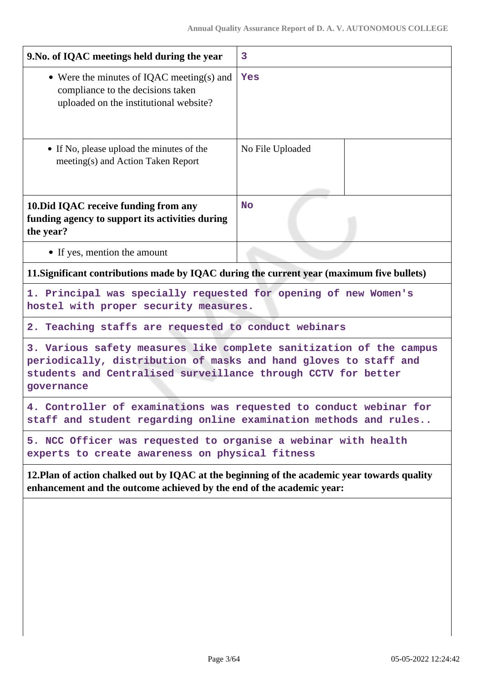| 9. No. of IQAC meetings held during the year                                                                                                                                                                           | $\overline{3}$   |  |
|------------------------------------------------------------------------------------------------------------------------------------------------------------------------------------------------------------------------|------------------|--|
| • Were the minutes of IQAC meeting(s) and<br>compliance to the decisions taken<br>uploaded on the institutional website?                                                                                               | Yes              |  |
| • If No, please upload the minutes of the<br>meeting(s) and Action Taken Report                                                                                                                                        | No File Uploaded |  |
| 10. Did IQAC receive funding from any<br>funding agency to support its activities during<br>the year?                                                                                                                  | <b>No</b>        |  |
| • If yes, mention the amount                                                                                                                                                                                           |                  |  |
| 11. Significant contributions made by IQAC during the current year (maximum five bullets)                                                                                                                              |                  |  |
| 1. Principal was specially requested for opening of new Women's<br>hostel with proper security measures.                                                                                                               |                  |  |
| 2. Teaching staffs are requested to conduct webinars                                                                                                                                                                   |                  |  |
| 3. Various safety measures like complete sanitization of the campus<br>periodically, distribution of masks and hand gloves to staff and<br>students and Centralised surveillance through CCTV for better<br>governance |                  |  |
| 4. Controller of examinations was requested to conduct webinar for<br>staff and student regarding online examination methods and rules                                                                                 |                  |  |
| 5. NCC Officer was requested to organise a webinar with health<br>experts to create awareness on physical fitness                                                                                                      |                  |  |
| 12. Plan of action chalked out by IQAC at the beginning of the academic year towards quality<br>enhancement and the outcome achieved by the end of the academic year:                                                  |                  |  |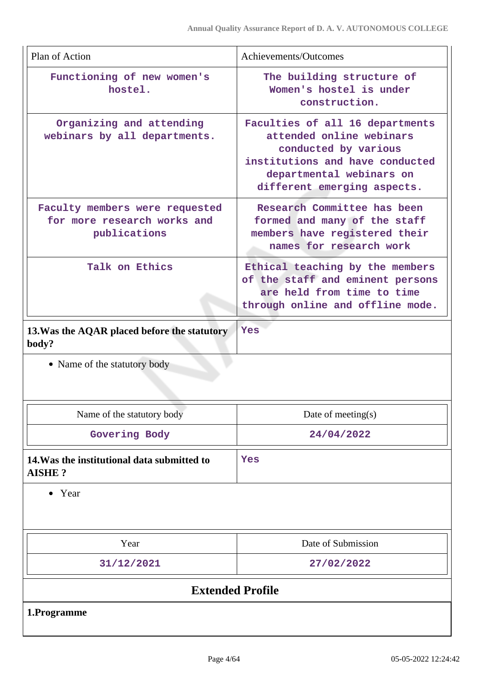| Plan of Action                                                                | Achievements/Outcomes                                                                                                                                                             |
|-------------------------------------------------------------------------------|-----------------------------------------------------------------------------------------------------------------------------------------------------------------------------------|
| Functioning of new women's<br>hostel.                                         | The building structure of<br>Women's hostel is under<br>construction.                                                                                                             |
| Organizing and attending<br>webinars by all departments.                      | Faculties of all 16 departments<br>attended online webinars<br>conducted by various<br>institutions and have conducted<br>departmental webinars on<br>different emerging aspects. |
| Faculty members were requested<br>for more research works and<br>publications | Research Committee has been<br>formed and many of the staff<br>members have registered their<br>names for research work                                                           |
| Talk on Ethics                                                                | Ethical teaching by the members<br>of the staff and eminent persons<br>are held from time to time<br>through online and offline mode.                                             |
| 13. Was the AQAR placed before the statutory<br>body?                         | Yes                                                                                                                                                                               |

• Name of the statutory body

| Name of the statutory body                            | Date of meeting $(s)$ |
|-------------------------------------------------------|-----------------------|
| Govering Body                                         | 24/04/2022            |
| 14. Was the institutional data submitted to<br>AISHE? | Yes                   |

• Year

| Year                    | Date of Submission |  |
|-------------------------|--------------------|--|
| 31/12/2021              | 27/02/2022         |  |
| <b>Extended Profile</b> |                    |  |
| 1.Programme             |                    |  |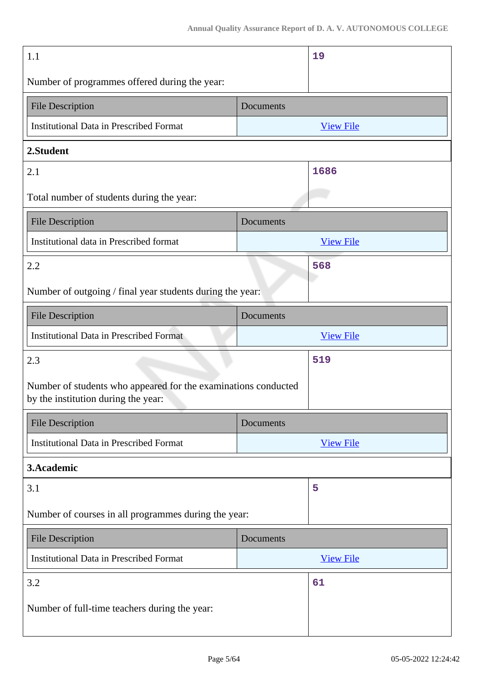| 1.1                                                                                                   |           | 19               |
|-------------------------------------------------------------------------------------------------------|-----------|------------------|
| Number of programmes offered during the year:                                                         |           |                  |
| <b>File Description</b>                                                                               | Documents |                  |
| <b>Institutional Data in Prescribed Format</b>                                                        |           | <b>View File</b> |
| 2.Student                                                                                             |           |                  |
| 2.1                                                                                                   |           | 1686             |
| Total number of students during the year:                                                             |           |                  |
| <b>File Description</b>                                                                               | Documents |                  |
| Institutional data in Prescribed format                                                               |           | <b>View File</b> |
| 2.2                                                                                                   |           | 568              |
| Number of outgoing / final year students during the year:                                             |           |                  |
| <b>File Description</b>                                                                               | Documents |                  |
| <b>Institutional Data in Prescribed Format</b>                                                        |           | <b>View File</b> |
| 2.3                                                                                                   |           | 519              |
| Number of students who appeared for the examinations conducted<br>by the institution during the year: |           |                  |
| <b>File Description</b>                                                                               | Documents |                  |
| <b>Institutional Data in Prescribed Format</b>                                                        |           | <b>View File</b> |
| 3.Academic                                                                                            |           |                  |
| 3.1                                                                                                   |           | 5                |
| Number of courses in all programmes during the year:                                                  |           |                  |
| <b>File Description</b>                                                                               | Documents |                  |
| <b>Institutional Data in Prescribed Format</b>                                                        |           | <b>View File</b> |
| 3.2                                                                                                   |           | 61               |
| Number of full-time teachers during the year:                                                         |           |                  |
|                                                                                                       |           |                  |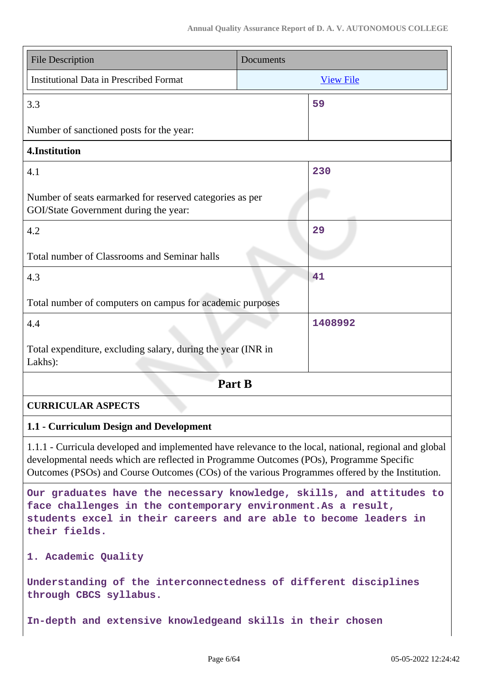| <b>File Description</b>                                                                                                                                                                                                                                                                              | Documents |                  |
|------------------------------------------------------------------------------------------------------------------------------------------------------------------------------------------------------------------------------------------------------------------------------------------------------|-----------|------------------|
| <b>Institutional Data in Prescribed Format</b>                                                                                                                                                                                                                                                       |           | <b>View File</b> |
| 3.3                                                                                                                                                                                                                                                                                                  |           | 59               |
| Number of sanctioned posts for the year:                                                                                                                                                                                                                                                             |           |                  |
| 4.Institution                                                                                                                                                                                                                                                                                        |           |                  |
| 4.1                                                                                                                                                                                                                                                                                                  |           | 230              |
| Number of seats earmarked for reserved categories as per<br>GOI/State Government during the year:                                                                                                                                                                                                    |           |                  |
| 4.2                                                                                                                                                                                                                                                                                                  |           | 29               |
| Total number of Classrooms and Seminar halls                                                                                                                                                                                                                                                         |           |                  |
| 4.3                                                                                                                                                                                                                                                                                                  |           | 41               |
| Total number of computers on campus for academic purposes                                                                                                                                                                                                                                            |           |                  |
| 4.4                                                                                                                                                                                                                                                                                                  |           | 1408992          |
| Total expenditure, excluding salary, during the year (INR in<br>Lakhs):                                                                                                                                                                                                                              |           |                  |
| Part B                                                                                                                                                                                                                                                                                               |           |                  |
| <b>CURRICULAR ASPECTS</b>                                                                                                                                                                                                                                                                            |           |                  |
| 1.1 - Curriculum Design and Development                                                                                                                                                                                                                                                              |           |                  |
| 1.1.1 - Curricula developed and implemented have relevance to the local, national, regional and global<br>developmental needs which are reflected in Programme Outcomes (POs), Programme Specific<br>Outcomes (PSOs) and Course Outcomes (COs) of the various Programmes offered by the Institution. |           |                  |
| Our graduates have the necessary knowledge, skills, and attitudes to<br>face challenges in the contemporary environment. As a result,<br>students excel in their careers and are able to become leaders in<br>their fields.                                                                          |           |                  |
| 1. Academic Quality                                                                                                                                                                                                                                                                                  |           |                  |
| Understanding of the interconnectedness of different disciplines<br>through CBCS syllabus.                                                                                                                                                                                                           |           |                  |
| In-depth and extensive knowledgeand skills in their chosen                                                                                                                                                                                                                                           |           |                  |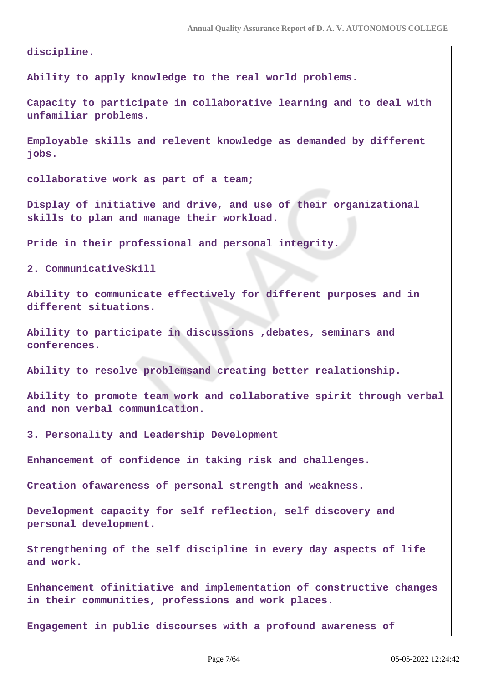**discipline.**

**Ability to apply knowledge to the real world problems.**

**Capacity to participate in collaborative learning and to deal with unfamiliar problems.**

**Employable skills and relevent knowledge as demanded by different jobs.**

**collaborative work as part of a team;**

**Display of initiative and drive, and use of their organizational skills to plan and manage their workload.**

**Pride in their professional and personal integrity.**

**2. CommunicativeSkill**

**Ability to communicate effectively for different purposes and in different situations.**

**Ability to participate in discussions ,debates, seminars and conferences.**

**Ability to resolve problemsand creating better realationship.**

**Ability to promote team work and collaborative spirit through verbal and non verbal communication.**

**3. Personality and Leadership Development**

**Enhancement of confidence in taking risk and challenges.**

**Creation ofawareness of personal strength and weakness.**

**Development capacity for self reflection, self discovery and personal development.**

**Strengthening of the self discipline in every day aspects of life and work.**

**Enhancement ofinitiative and implementation of constructive changes in their communities, professions and work places.**

**Engagement in public discourses with a profound awareness of**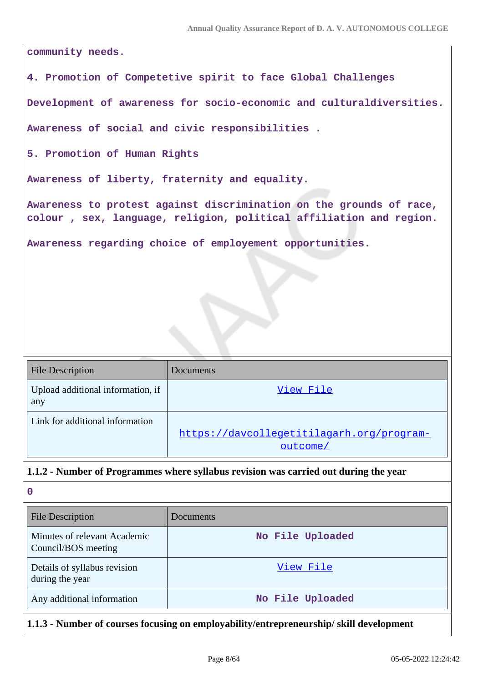**community needs.**

**4. Promotion of Competetive spirit to face Global Challenges**

**Development of awareness for socio-economic and culturaldiversities.**

**Awareness of social and civic responsibilities .**

**5. Promotion of Human Rights**

**Awareness of liberty, fraternity and equality.**

**Awareness to protest against discrimination on the grounds of race, colour , sex, language, religion, political affiliation and region.**

**Awareness regarding choice of employement opportunities.**

| <b>File Description</b>                  | <b>Documents</b>                                      |
|------------------------------------------|-------------------------------------------------------|
| Upload additional information, if<br>any | View File                                             |
| Link for additional information          | https://davcollegetitilagarh.org/program-<br>outcome/ |

### **1.1.2 - Number of Programmes where syllabus revision was carried out during the year**

| $\mathbf 0$                                         |                  |
|-----------------------------------------------------|------------------|
| File Description                                    | Documents        |
| Minutes of relevant Academic<br>Council/BOS meeting | No File Uploaded |
| Details of syllabus revision<br>during the year     | View File        |
| Any additional information                          | No File Uploaded |

**1.1.3 - Number of courses focusing on employability/entrepreneurship/ skill development**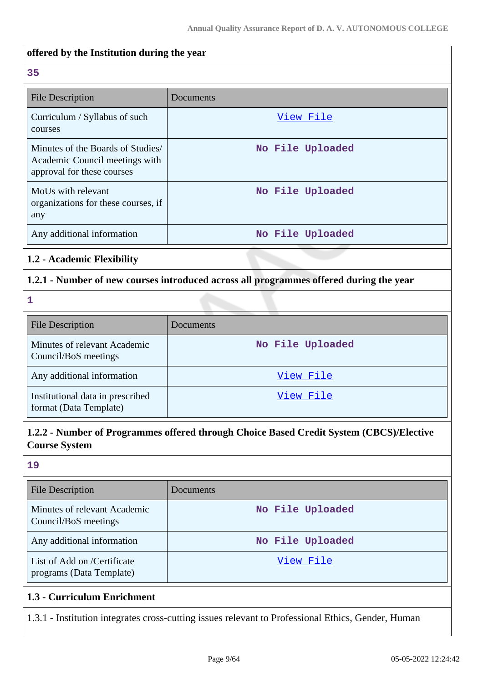# **offered by the Institution during the year 35** File Description Documents Curriculum / Syllabus of such courses [View File](https://assessmentonline.naac.gov.in/storage/app/public/aqar/15355/15355_194_466.xlsx?1651733680) Minutes of the Boards of Studies/ Academic Council meetings with approval for these courses **No File Uploaded** MoUs with relevant organizations for these courses, if any **No File Uploaded** Any additional information **No File Uploaded 1.2 - Academic Flexibility 1.2.1 - Number of new courses introduced across all programmes offered during the year 1** File Description Documents Minutes of relevant Academic Council/BoS meetings **No File Uploaded** Any additional information and the set of the [View File](https://assessmentonline.naac.gov.in/storage/app/public/aqar/15355/15355_203_471.xlsx?1651733680) Institutional data in prescribed format (Data Template) [View File](https://assessmentonline.naac.gov.in/storage/app/public/aqar/15355/15355_203_705.xlsx?1651733680)

## **1.2.2 - Number of Programmes offered through Choice Based Credit System (CBCS)/Elective Course System**

### **19**

| File Description                                        | Documents        |
|---------------------------------------------------------|------------------|
| Minutes of relevant Academic<br>Council/BoS meetings    | No File Uploaded |
| Any additional information                              | No File Uploaded |
| List of Add on /Certificate<br>programs (Data Template) | View File        |
| 1.3 - Curriculum Enrichment                             |                  |

1.3.1 - Institution integrates cross-cutting issues relevant to Professional Ethics, Gender, Human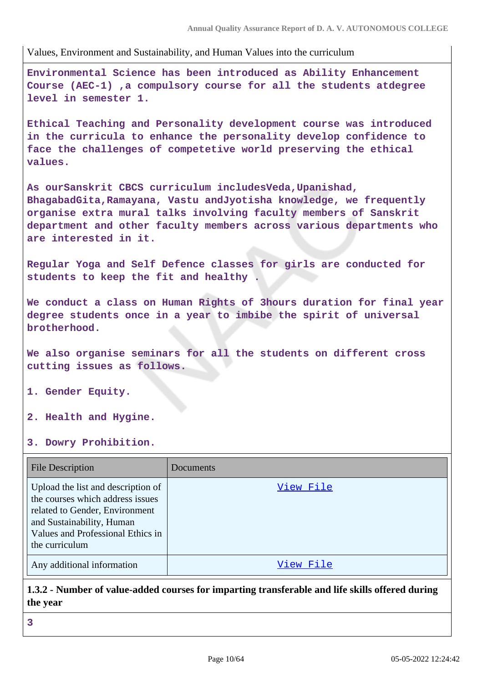Values, Environment and Sustainability, and Human Values into the curriculum

**Environmental Science has been introduced as Ability Enhancement Course (AEC-1) ,a compulsory course for all the students atdegree level in semester 1.**

**Ethical Teaching and Personality development course was introduced in the curricula to enhance the personality develop confidence to face the challenges of competetive world preserving the ethical values.**

**As ourSanskrit CBCS curriculum includesVeda,Upanishad, BhagabadGita,Ramayana, Vastu andJyotisha knowledge, we frequently organise extra mural talks involving faculty members of Sanskrit department and other faculty members across various departments who are interested in it.**

**Regular Yoga and Self Defence classes for girls are conducted for students to keep the fit and healthy .**

**We conduct a class on Human Rights of 3hours duration for final year degree students once in a year to imbibe the spirit of universal brotherhood.**

**We also organise seminars for all the students on different cross cutting issues as follows.**

- **1. Gender Equity.**
- **2. Health and Hygine.**
- **3. Dowry Prohibition.**

| <b>File Description</b>                                                                                                                                                                      | Documents |
|----------------------------------------------------------------------------------------------------------------------------------------------------------------------------------------------|-----------|
| Upload the list and description of<br>the courses which address issues<br>related to Gender, Environment<br>and Sustainability, Human<br>Values and Professional Ethics in<br>the curriculum | View File |
| Any additional information                                                                                                                                                                   | View File |

**1.3.2 - Number of value-added courses for imparting transferable and life skills offered during the year**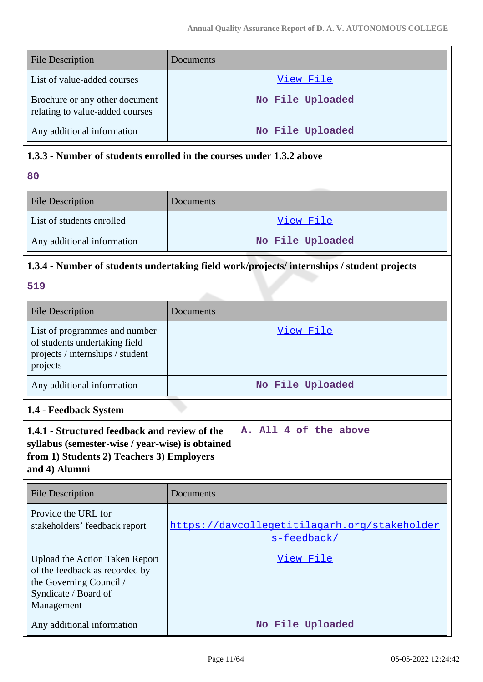| <b>File Description</b>                                                                                                                                         | Documents                                                                                 |
|-----------------------------------------------------------------------------------------------------------------------------------------------------------------|-------------------------------------------------------------------------------------------|
| List of value-added courses                                                                                                                                     | View File                                                                                 |
| Brochure or any other document<br>relating to value-added courses                                                                                               | No File Uploaded                                                                          |
| Any additional information                                                                                                                                      | No File Uploaded                                                                          |
| 1.3.3 - Number of students enrolled in the courses under 1.3.2 above                                                                                            |                                                                                           |
| 80                                                                                                                                                              |                                                                                           |
| <b>File Description</b>                                                                                                                                         | Documents                                                                                 |
| List of students enrolled                                                                                                                                       | View File                                                                                 |
| Any additional information                                                                                                                                      | No File Uploaded                                                                          |
|                                                                                                                                                                 | 1.3.4 - Number of students undertaking field work/projects/internships / student projects |
| 519                                                                                                                                                             |                                                                                           |
| <b>File Description</b>                                                                                                                                         | Documents                                                                                 |
| List of programmes and number<br>of students undertaking field<br>projects / internships / student<br>projects                                                  | View File                                                                                 |
| Any additional information                                                                                                                                      | No File Uploaded                                                                          |
| 1.4 - Feedback System                                                                                                                                           |                                                                                           |
| 1.4.1 - Structured feedback and review of the<br>syllabus (semester-wise / year-wise) is obtained<br>from 1) Students 2) Teachers 3) Employers<br>and 4) Alumni | A. All 4 of the above                                                                     |
| <b>File Description</b>                                                                                                                                         | Documents                                                                                 |
| Provide the URL for<br>stakeholders' feedback report                                                                                                            | https://davcollegetitilagarh.org/stakeholder<br>s-feedback/                               |
| <b>Upload the Action Taken Report</b><br>of the feedback as recorded by<br>the Governing Council /<br>Syndicate / Board of<br>Management                        | <u>View File</u>                                                                          |

Any additional information **No File Uploaded**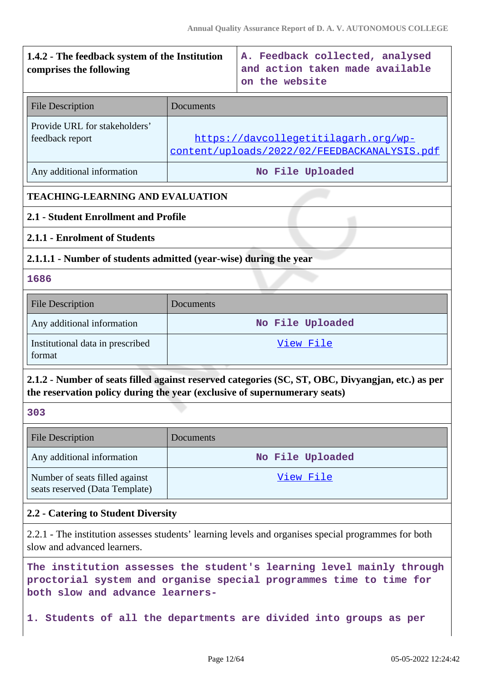# **1.4.2 - The feedback system of the Institution comprises the following A. Feedback collected, analysed and action taken made available on the website** File Description Documents Provide URL for stakeholders' feedback report [https://davcollegetitilagarh.org/wp](https://davcollegetitilagarh.org/wp-content/uploads/2022/02/FEEDBACKANALYSIS.pdf)[content/uploads/2022/02/FEEDBACKANALYSIS.pdf](https://davcollegetitilagarh.org/wp-content/uploads/2022/02/FEEDBACKANALYSIS.pdf) Any additional information **No File Uploaded TEACHING-LEARNING AND EVALUATION 2.1 - Student Enrollment and Profile 2.1.1 - Enrolment of Students 2.1.1.1 - Number of students admitted (year-wise) during the year 1686** File Description Documents Any additional information **No File Uploaded** Institutional data in prescribed format [View File](https://assessmentonline.naac.gov.in/storage/app/public/aqar/15355/15355_211_707.xlsx?1651733680) **2.1.2 - Number of seats filled against reserved categories (SC, ST, OBC, Divyangjan, etc.) as per the reservation policy during the year (exclusive of supernumerary seats) 303** File Description Documents Any additional information **No File Uploaded** Number of seats filled against seats reserved (Data Template) [View File](https://assessmentonline.naac.gov.in/storage/app/public/aqar/15355/15355_212_708.xlsx?1651733680) **2.2 - Catering to Student Diversity** 2.2.1 - The institution assesses students' learning levels and organises special programmes for both slow and advanced learners.

**The institution assesses the student's learning level mainly through proctorial system and organise special programmes time to time for both slow and advance learners-**

**1. Students of all the departments are divided into groups as per**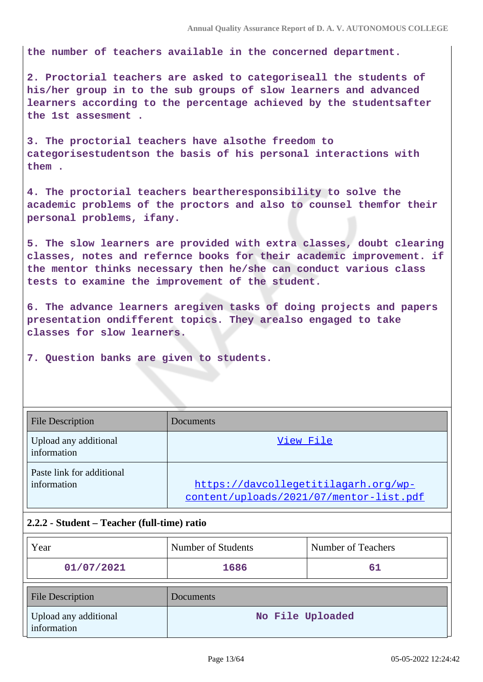**the number of teachers available in the concerned department.**

**2. Proctorial teachers are asked to categoriseall the students of his/her group in to the sub groups of slow learners and advanced learners according to the percentage achieved by the studentsafter the 1st assesment .**

**3. The proctorial teachers have alsothe freedom to categorisestudentson the basis of his personal interactions with them .**

**4. The proctorial teachers beartheresponsibility to solve the academic problems of the proctors and also to counsel themfor their personal problems, ifany.**

**5. The slow learners are provided with extra classes, doubt clearing classes, notes and refernce books for their academic improvement. if the mentor thinks necessary then he/she can conduct various class tests to examine the improvement of the student.**

**6. The advance learners aregiven tasks of doing projects and papers presentation ondifferent topics. They arealso engaged to take classes for slow learners.**

**7. Question banks are given to students.**

| <b>File Description</b>                  | <b>Documents</b>                                                                |
|------------------------------------------|---------------------------------------------------------------------------------|
| Upload any additional<br>information     | View File                                                                       |
| Paste link for additional<br>information | https://davcollegetitilagarh.org/wp-<br>content/uploads/2021/07/mentor-list.pdf |

#### **2.2.2 - Student – Teacher (full-time) ratio**

| Year                                 | Number of Students | Number of Teachers |
|--------------------------------------|--------------------|--------------------|
| 01/07/2021                           | 1686               | 61                 |
| <b>File Description</b>              | Documents          |                    |
| Upload any additional<br>information | No File Uploaded   |                    |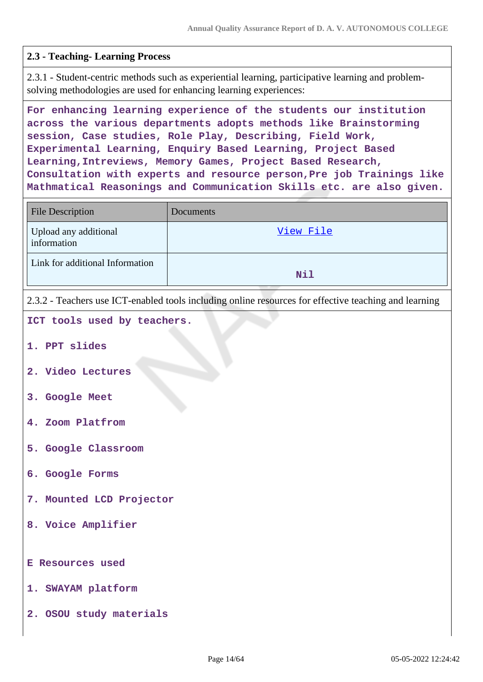### **2.3 - Teaching- Learning Process**

2.3.1 - Student-centric methods such as experiential learning, participative learning and problemsolving methodologies are used for enhancing learning experiences:

**For enhancing learning experience of the students our institution across the various departments adopts methods like Brainstorming session, Case studies, Role Play, Describing, Field Work, Experimental Learning, Enquiry Based Learning, Project Based Learning,Intreviews, Memory Games, Project Based Research, Consultation with experts and resource person,Pre job Trainings like Mathmatical Reasonings and Communication Skills etc. are also given.**

| <b>File Description</b>              | Documents                                                                                             |
|--------------------------------------|-------------------------------------------------------------------------------------------------------|
| Upload any additional<br>information | View File                                                                                             |
| Link for additional Information      | Nil                                                                                                   |
|                                      | 2.3.2 - Teachers use ICT-enabled tools including online resources for effective teaching and learning |
| ICT tools used by teachers.          |                                                                                                       |
| 1. PPT slides                        |                                                                                                       |
| 2. Video Lectures                    |                                                                                                       |
| 3. Google Meet                       |                                                                                                       |
| 4. Zoom Platfrom                     |                                                                                                       |
| 5. Google Classroom                  |                                                                                                       |
| 6. Google Forms                      |                                                                                                       |
| 7. Mounted LCD Projector             |                                                                                                       |
| 8. Voice Amplifier                   |                                                                                                       |
| <b>E Resources used</b>              |                                                                                                       |
| 1. SWAYAM platform                   |                                                                                                       |

**2. OSOU study materials**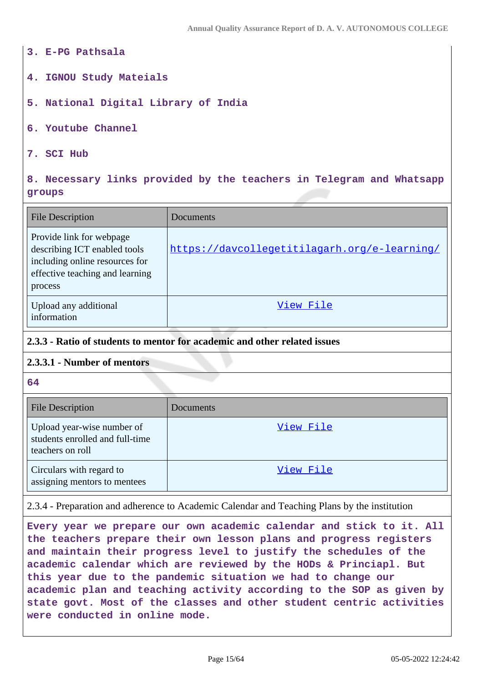- **3. E-PG Pathsala**
- **4. IGNOU Study Mateials**
- **5. National Digital Library of India**
- **6. Youtube Channel**
- **7. SCI Hub**

### **8. Necessary links provided by the teachers in Telegram and Whatsapp groups**

| <b>File Description</b>                                                                                                                  | Documents                                    |
|------------------------------------------------------------------------------------------------------------------------------------------|----------------------------------------------|
| Provide link for webpage<br>describing ICT enabled tools<br>including online resources for<br>effective teaching and learning<br>process | https://davcollegetitilagarh.org/e-learning/ |
| Upload any additional<br>information                                                                                                     | View File                                    |

#### **2.3.3 - Ratio of students to mentor for academic and other related issues**

#### **2.3.3.1 - Number of mentors**

**64**

| <b>File Description</b>                                                           | Documents |
|-----------------------------------------------------------------------------------|-----------|
| Upload year-wise number of<br>students enrolled and full-time<br>teachers on roll | View File |
| Circulars with regard to<br>assigning mentors to mentees                          | View File |

#### 2.3.4 - Preparation and adherence to Academic Calendar and Teaching Plans by the institution

**Every year we prepare our own academic calendar and stick to it. All the teachers prepare their own lesson plans and progress registers and maintain their progress level to justify the schedules of the academic calendar which are reviewed by the HODs & Princiapl. But this year due to the pandemic situation we had to change our academic plan and teaching activity according to the SOP as given by state govt. Most of the classes and other student centric activities were conducted in online mode.**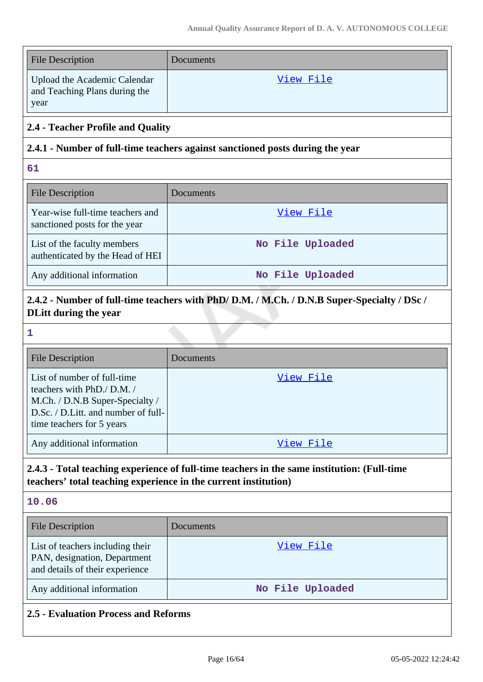| <b>File Description</b>                                               | Documents |
|-----------------------------------------------------------------------|-----------|
| Upload the Academic Calendar<br>and Teaching Plans during the<br>year | View File |

## **2.4 - Teacher Profile and Quality**

### **2.4.1 - Number of full-time teachers against sanctioned posts during the year**

**61**

| <b>File Description</b>                                           | Documents        |
|-------------------------------------------------------------------|------------------|
| Year-wise full-time teachers and<br>sanctioned posts for the year | View File        |
| List of the faculty members<br>authenticated by the Head of HEI   | No File Uploaded |
| Any additional information                                        | No File Uploaded |

# **2.4.2 - Number of full-time teachers with PhD/ D.M. / M.Ch. / D.N.B Super-Specialty / DSc / DLitt during the year**

**1**

| <b>File Description</b>                                                                                                                                         | Documents |
|-----------------------------------------------------------------------------------------------------------------------------------------------------------------|-----------|
| List of number of full-time<br>teachers with PhD./ D.M./<br>M.Ch. / D.N.B Super-Specialty /<br>D.Sc. / D.Litt. and number of full-<br>time teachers for 5 years | View File |
| Any additional information                                                                                                                                      | View File |

# **2.4.3 - Total teaching experience of full-time teachers in the same institution: (Full-time teachers' total teaching experience in the current institution)**

**10.06**

| <b>File Description</b>                                                                             | Documents        |
|-----------------------------------------------------------------------------------------------------|------------------|
| List of teachers including their<br>PAN, designation, Department<br>and details of their experience | View File        |
| Any additional information                                                                          | No File Uploaded |

# **2.5 - Evaluation Process and Reforms**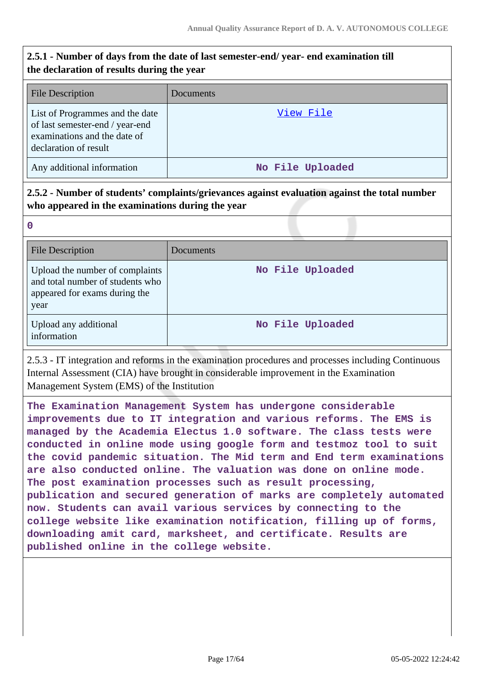# **2.5.1 - Number of days from the date of last semester-end/ year- end examination till the declaration of results during the year**

| <b>File Description</b>                                                                                                     | Documents        |
|-----------------------------------------------------------------------------------------------------------------------------|------------------|
| List of Programmes and the date<br>of last semester-end / year-end<br>examinations and the date of<br>declaration of result | View File        |
| Any additional information                                                                                                  | No File Uploaded |

# **2.5.2 - Number of students' complaints/grievances against evaluation against the total number who appeared in the examinations during the year**

**0**

| <b>File Description</b>                                                                                      | Documents        |
|--------------------------------------------------------------------------------------------------------------|------------------|
| Upload the number of complaints<br>and total number of students who<br>appeared for exams during the<br>year | No File Uploaded |
| Upload any additional<br>information                                                                         | No File Uploaded |

2.5.3 - IT integration and reforms in the examination procedures and processes including Continuous Internal Assessment (CIA) have brought in considerable improvement in the Examination Management System (EMS) of the Institution

**The Examination Management System has undergone considerable improvements due to IT integration and various reforms. The EMS is managed by the Academia Electus 1.0 software. The class tests were conducted in online mode using google form and testmoz tool to suit the covid pandemic situation. The Mid term and End term examinations are also conducted online. The valuation was done on online mode. The post examination processes such as result processing, publication and secured generation of marks are completely automated now. Students can avail various services by connecting to the college website like examination notification, filling up of forms, downloading amit card, marksheet, and certificate. Results are published online in the college website.**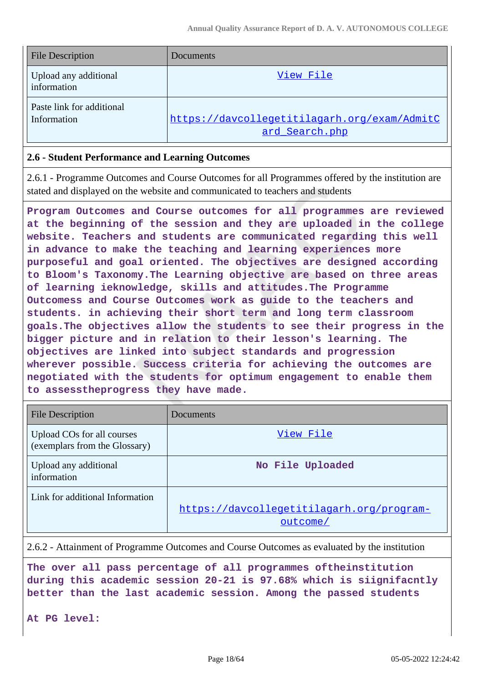| <b>File Description</b>                  | Documents                                                      |
|------------------------------------------|----------------------------------------------------------------|
| Upload any additional<br>information     | View File                                                      |
| Paste link for additional<br>Information | https://davcollegetitilagarh.org/exam/AdmitC<br>ard Search.php |

#### **2.6 - Student Performance and Learning Outcomes**

2.6.1 - Programme Outcomes and Course Outcomes for all Programmes offered by the institution are stated and displayed on the website and communicated to teachers and students

**Program Outcomes and Course outcomes for all programmes are reviewed at the beginning of the session and they are uploaded in the college website. Teachers and students are communicated regarding this well in advance to make the teaching and learning experiences more purposeful and goal oriented. The objectives are designed according to Bloom's Taxonomy.The Learning objective are based on three areas of learning ieknowledge, skills and attitudes.The Programme Outcomess and Course Outcomes work as guide to the teachers and students. in achieving their short term and long term classroom goals.The objectives allow the students to see their progress in the bigger picture and in relation to their lesson's learning. The objectives are linked into subject standards and progression wherever possible. Success criteria for achieving the outcomes are negotiated with the students for optimum engagement to enable them to assesstheprogress they have made.**

| <b>File Description</b>                                     | Documents                                             |
|-------------------------------------------------------------|-------------------------------------------------------|
| Upload COs for all courses<br>(exemplars from the Glossary) | View File                                             |
| Upload any additional<br>information                        | No File Uploaded                                      |
| Link for additional Information                             | https://davcollegetitilagarh.org/program-<br>outcome/ |

2.6.2 - Attainment of Programme Outcomes and Course Outcomes as evaluated by the institution

**The over all pass percentage of all programmes oftheinstitution during this academic session 20-21 is 97.68% which is siignifacntly better than the last academic session. Among the passed students**

**At PG level:**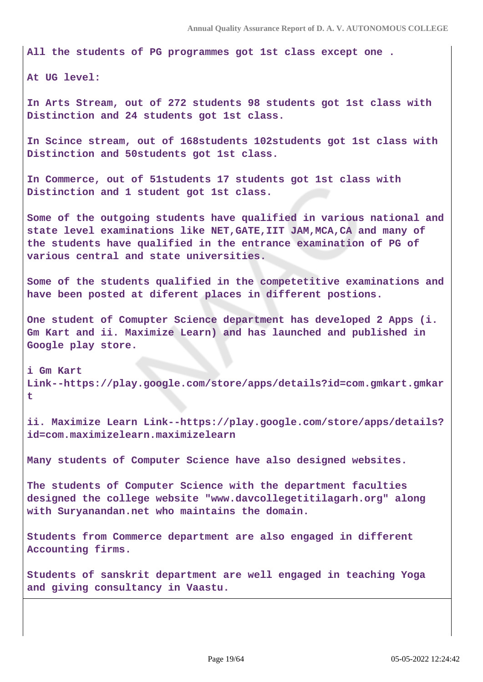**All the students of PG programmes got 1st class except one .**

**At UG level:**

**In Arts Stream, out of 272 students 98 students got 1st class with Distinction and 24 students got 1st class.**

**In Scince stream, out of 168students 102students got 1st class with Distinction and 50students got 1st class.**

**In Commerce, out of 51students 17 students got 1st class with Distinction and 1 student got 1st class.**

**Some of the outgoing students have qualified in various national and state level examinations like NET,GATE,IIT JAM,MCA,CA and many of the students have qualified in the entrance examination of PG of various central and state universities.**

**Some of the students qualified in the competetitive examinations and have been posted at diferent places in different postions.**

**One student of Comupter Science department has developed 2 Apps (i. Gm Kart and ii. Maximize Learn) and has launched and published in Google play store.**

**i Gm Kart Link--https://play.google.com/store/apps/details?id=com.gmkart.gmkar t**

**ii. Maximize Learn Link--https://play.google.com/store/apps/details? id=com.maximizelearn.maximizelearn**

**Many students of Computer Science have also designed websites.**

**The students of Computer Science with the department faculties designed the college website "www.davcollegetitilagarh.org" along with Suryanandan.net who maintains the domain.**

**Students from Commerce department are also engaged in different Accounting firms.**

**Students of sanskrit department are well engaged in teaching Yoga and giving consultancy in Vaastu.**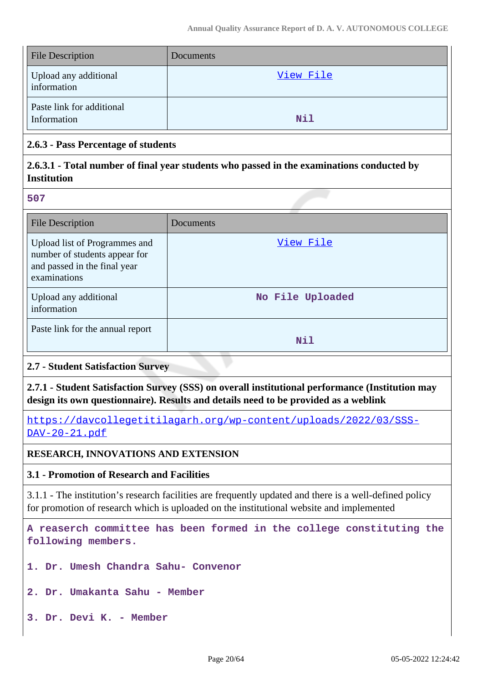| <b>File Description</b>                  | Documents  |
|------------------------------------------|------------|
| Upload any additional<br>information     | View File  |
| Paste link for additional<br>Information | <b>Nil</b> |

### **2.6.3 - Pass Percentage of students**

## **2.6.3.1 - Total number of final year students who passed in the examinations conducted by Institution**

**507**

| <b>File Description</b>                                                                                        | Documents        |
|----------------------------------------------------------------------------------------------------------------|------------------|
| Upload list of Programmes and<br>number of students appear for<br>and passed in the final year<br>examinations | View File        |
| Upload any additional<br>information                                                                           | No File Uploaded |
| Paste link for the annual report                                                                               | Nil              |

### **2.7 - Student Satisfaction Survey**

**2.7.1 - Student Satisfaction Survey (SSS) on overall institutional performance (Institution may design its own questionnaire). Results and details need to be provided as a weblink**

[https://davcollegetitilagarh.org/wp-content/uploads/2022/03/SSS-](https://davcollegetitilagarh.org/wp-content/uploads/2022/03/SSS-DAV-20-21.pdf)[DAV-20-21.pdf](https://davcollegetitilagarh.org/wp-content/uploads/2022/03/SSS-DAV-20-21.pdf)

### **RESEARCH, INNOVATIONS AND EXTENSION**

### **3.1 - Promotion of Research and Facilities**

3.1.1 - The institution's research facilities are frequently updated and there is a well-defined policy for promotion of research which is uploaded on the institutional website and implemented

**A reaserch committee has been formed in the college constituting the following members.**

**1. Dr. Umesh Chandra Sahu- Convenor**

**2. Dr. Umakanta Sahu - Member**

**3. Dr. Devi K. - Member**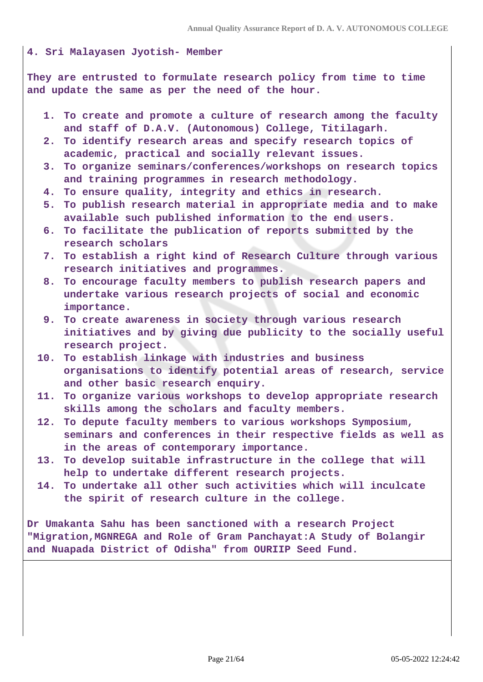#### **4. Sri Malayasen Jyotish- Member**

**They are entrusted to formulate research policy from time to time and update the same as per the need of the hour.**

- **1. To create and promote a culture of research among the faculty and staff of D.A.V. (Autonomous) College, Titilagarh.**
- **2. To identify research areas and specify research topics of academic, practical and socially relevant issues.**
- **3. To organize seminars/conferences/workshops on research topics and training programmes in research methodology.**
- **4. To ensure quality, integrity and ethics in research.**
- **5. To publish research material in appropriate media and to make available such published information to the end users.**
- **6. To facilitate the publication of reports submitted by the research scholars**
- **7. To establish a right kind of Research Culture through various research initiatives and programmes.**
- **8. To encourage faculty members to publish research papers and undertake various research projects of social and economic importance.**
- **9. To create awareness in society through various research initiatives and by giving due publicity to the socially useful research project.**
- **10. To establish linkage with industries and business organisations to identify potential areas of research, service and other basic research enquiry.**
- **11. To organize various workshops to develop appropriate research skills among the scholars and faculty members.**
- **12. To depute faculty members to various workshops Symposium, seminars and conferences in their respective fields as well as in the areas of contemporary importance.**
- **13. To develop suitable infrastructure in the college that will help to undertake different research projects.**
- **14. To undertake all other such activities which will inculcate the spirit of research culture in the college.**

**Dr Umakanta Sahu has been sanctioned with a research Project "Migration,MGNREGA and Role of Gram Panchayat:A Study of Bolangir and Nuapada District of Odisha" from OURIIP Seed Fund.**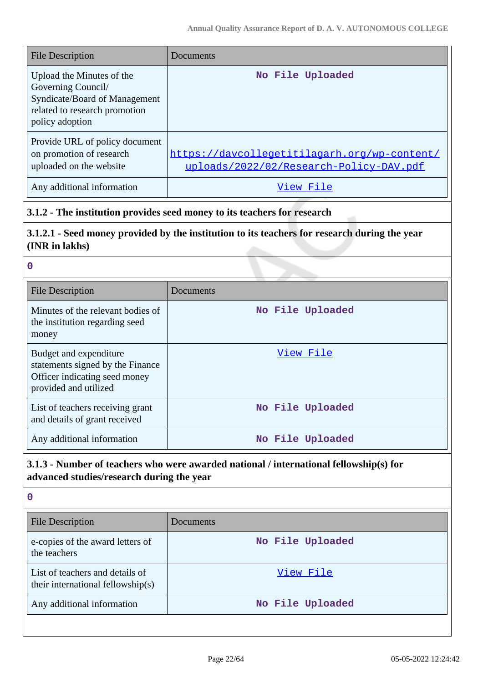| File Description                                                                                                                     | Documents                                                                               |
|--------------------------------------------------------------------------------------------------------------------------------------|-----------------------------------------------------------------------------------------|
| Upload the Minutes of the<br>Governing Council/<br>Syndicate/Board of Management<br>related to research promotion<br>policy adoption | No File Uploaded                                                                        |
| Provide URL of policy document<br>on promotion of research<br>uploaded on the website                                                | https://davcollegetitilagarh.org/wp-content/<br>uploads/2022/02/Research-Policy-DAV.pdf |
| Any additional information                                                                                                           | View File                                                                               |

# **3.1.2 - The institution provides seed money to its teachers for research**

# **3.1.2.1 - Seed money provided by the institution to its teachers for research during the year (INR in lakhs)**

| $\mathbf 0$                                                                                                          |                  |
|----------------------------------------------------------------------------------------------------------------------|------------------|
| <b>File Description</b>                                                                                              | Documents        |
| Minutes of the relevant bodies of<br>the institution regarding seed<br>money                                         | No File Uploaded |
| Budget and expenditure<br>statements signed by the Finance<br>Officer indicating seed money<br>provided and utilized | View File        |
| List of teachers receiving grant<br>and details of grant received                                                    | No File Uploaded |
| Any additional information                                                                                           | No File Uploaded |

# **3.1.3 - Number of teachers who were awarded national / international fellowship(s) for advanced studies/research during the year**

| Documents        |  |
|------------------|--|
| No File Uploaded |  |
| View File        |  |
| No File Uploaded |  |
|                  |  |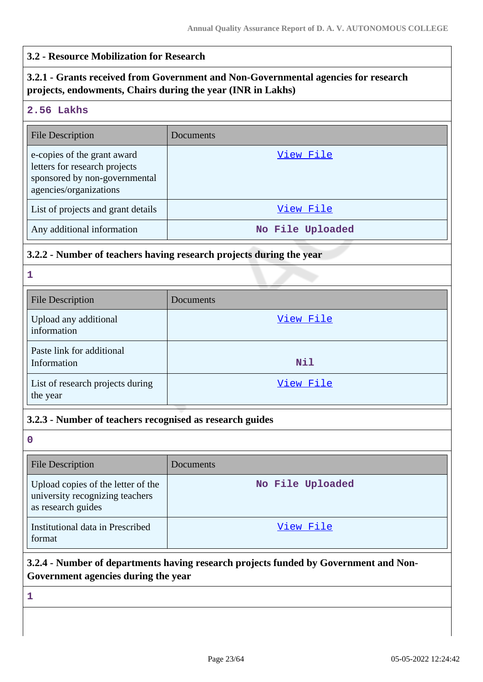#### **3.2 - Resource Mobilization for Research**

### **3.2.1 - Grants received from Government and Non-Governmental agencies for research projects, endowments, Chairs during the year (INR in Lakhs)**

#### **2.56 Lakhs**

| <b>File Description</b>                                                                                                 | Documents        |
|-------------------------------------------------------------------------------------------------------------------------|------------------|
| e-copies of the grant award<br>letters for research projects<br>sponsored by non-governmental<br>agencies/organizations | View File        |
| List of projects and grant details                                                                                      | View File        |
| Any additional information                                                                                              | No File Uploaded |

#### **3.2.2 - Number of teachers having research projects during the year**

**1**

| <b>File Description</b>                      | Documents |
|----------------------------------------------|-----------|
| Upload any additional<br>information         | View File |
| Paste link for additional<br>Information     | Nil       |
| List of research projects during<br>the year | View File |

#### **3.2.3 - Number of teachers recognised as research guides**

**0**

| <b>File Description</b>                                                                     | Documents        |
|---------------------------------------------------------------------------------------------|------------------|
| Upload copies of the letter of the<br>university recognizing teachers<br>as research guides | No File Uploaded |
| Institutional data in Prescribed<br>format                                                  | View File        |

# **3.2.4 - Number of departments having research projects funded by Government and Non-Government agencies during the year**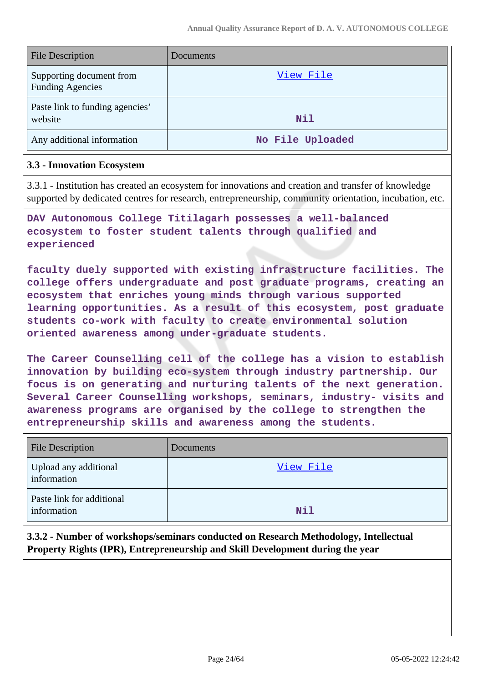| <b>File Description</b>                             | Documents        |
|-----------------------------------------------------|------------------|
| Supporting document from<br><b>Funding Agencies</b> | View File        |
| Paste link to funding agencies'<br>website          | Nil              |
| Any additional information                          | No File Uploaded |

#### **3.3 - Innovation Ecosystem**

3.3.1 - Institution has created an ecosystem for innovations and creation and transfer of knowledge supported by dedicated centres for research, entrepreneurship, community orientation, incubation, etc.

**DAV Autonomous College Titilagarh possesses a well-balanced ecosystem to foster student talents through qualified and experienced**

**faculty duely supported with existing infrastructure facilities. The college offers undergraduate and post graduate programs, creating an ecosystem that enriches young minds through various supported learning opportunities. As a result of this ecosystem, post graduate students co-work with faculty to create environmental solution oriented awareness among under-graduate students.**

**The Career Counselling cell of the college has a vision to establish innovation by building eco-system through industry partnership. Our focus is on generating and nurturing talents of the next generation. Several Career Counselling workshops, seminars, industry- visits and awareness programs are organised by the college to strengthen the entrepreneurship skills and awareness among the students.**

| <b>File Description</b>                  | Documents |
|------------------------------------------|-----------|
| Upload any additional<br>information     | View File |
| Paste link for additional<br>information | Nil       |

**3.3.2 - Number of workshops/seminars conducted on Research Methodology, Intellectual Property Rights (IPR), Entrepreneurship and Skill Development during the year**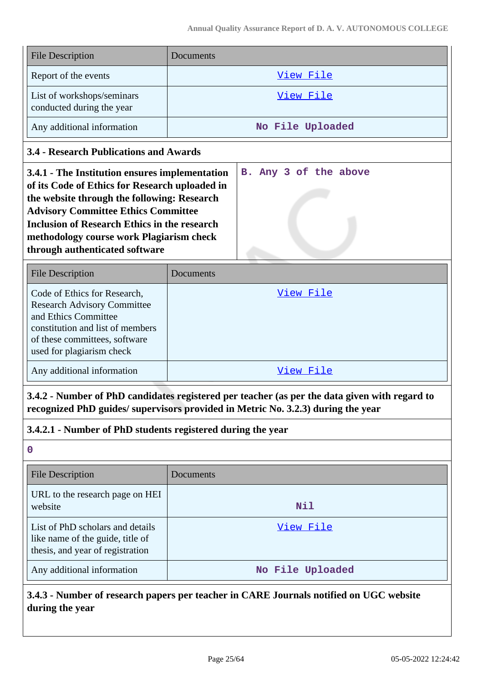| <b>File Description</b>                                 | <b>Documents</b> |
|---------------------------------------------------------|------------------|
| Report of the events                                    | View File        |
| List of workshops/seminars<br>conducted during the year | View File        |
| Any additional information                              | No File Uploaded |

### **3.4 - Research Publications and Awards**

| 3.4.1 - The Institution ensures implementation      | B. Any 3 of the above |
|-----------------------------------------------------|-----------------------|
| of its Code of Ethics for Research uploaded in      |                       |
| the website through the following: Research         |                       |
| <b>Advisory Committee Ethics Committee</b>          |                       |
| <b>Inclusion of Research Ethics in the research</b> |                       |
| methodology course work Plagiarism check            |                       |
| through authenticated software                      |                       |
|                                                     |                       |

| <b>File Description</b>                                                                                                                                                                      | Documents |
|----------------------------------------------------------------------------------------------------------------------------------------------------------------------------------------------|-----------|
| Code of Ethics for Research,<br><b>Research Advisory Committee</b><br>and Ethics Committee<br>constitution and list of members<br>of these committees, software<br>used for plagiarism check | View File |
| Any additional information                                                                                                                                                                   | View File |

**3.4.2 - Number of PhD candidates registered per teacher (as per the data given with regard to recognized PhD guides/ supervisors provided in Metric No. 3.2.3) during the year**

### **3.4.2.1 - Number of PhD students registered during the year**

| $\mathbf 0$                                                                                              |                  |
|----------------------------------------------------------------------------------------------------------|------------------|
| <b>File Description</b>                                                                                  | Documents        |
| URL to the research page on HEI<br>website                                                               | Nil              |
| List of PhD scholars and details<br>like name of the guide, title of<br>thesis, and year of registration | View File        |
| Any additional information                                                                               | No File Uploaded |

**3.4.3 - Number of research papers per teacher in CARE Journals notified on UGC website during the year**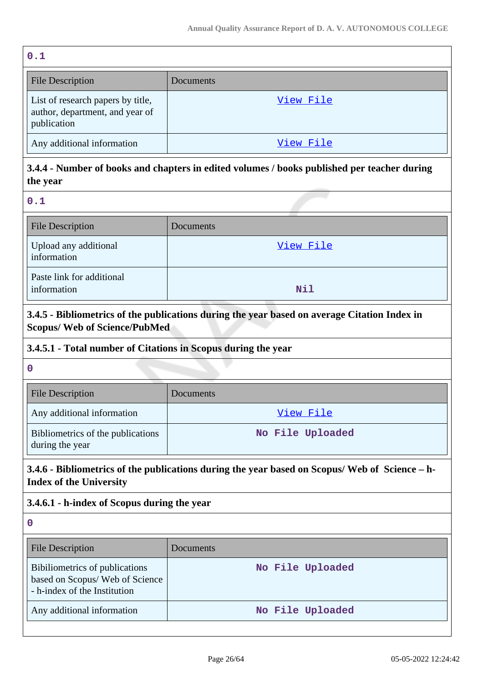| 0.1                                                                                 |           |
|-------------------------------------------------------------------------------------|-----------|
| <b>File Description</b>                                                             | Documents |
| List of research papers by title,<br>author, department, and year of<br>publication | View File |
| Any additional information                                                          | View File |

**3.4.4 - Number of books and chapters in edited volumes / books published per teacher during the year**

**0.1**

| <b>File Description</b>                  | Documents |
|------------------------------------------|-----------|
| Upload any additional<br>information     | View File |
| Paste link for additional<br>information | Nil       |

# **3.4.5 - Bibliometrics of the publications during the year based on average Citation Index in Scopus/ Web of Science/PubMed**

### **3.4.5.1 - Total number of Citations in Scopus during the year**

**0**

| <b>File Description</b>                              | <b>Documents</b> |
|------------------------------------------------------|------------------|
| Any additional information                           | View File        |
| Bibliometrics of the publications<br>during the year | No File Uploaded |

# **3.4.6 - Bibliometrics of the publications during the year based on Scopus/ Web of Science – h-Index of the University**

# **3.4.6.1 - h-index of Scopus during the year**

| <b>File Description</b>                                                                           | <b>Documents</b> |
|---------------------------------------------------------------------------------------------------|------------------|
| Bibiliometrics of publications<br>based on Scopus/ Web of Science<br>- h-index of the Institution | No File Uploaded |
| Any additional information                                                                        | No File Uploaded |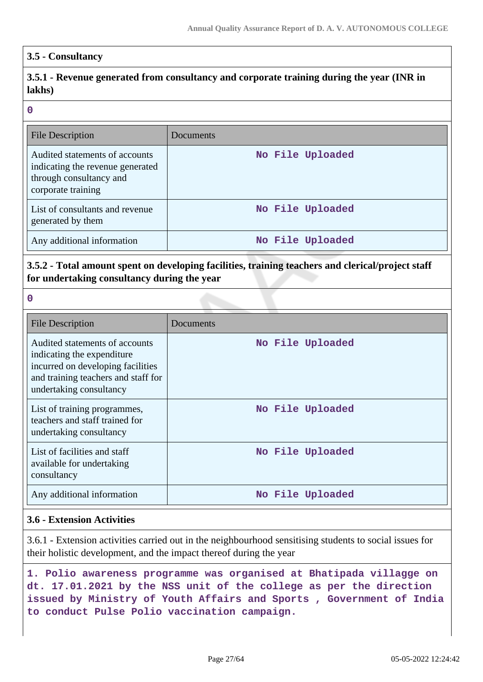### **3.5 - Consultancy**

# **3.5.1 - Revenue generated from consultancy and corporate training during the year (INR in lakhs)**

#### **0**

| File Description                                                                                                    | Documents        |
|---------------------------------------------------------------------------------------------------------------------|------------------|
| Audited statements of accounts<br>indicating the revenue generated<br>through consultancy and<br>corporate training | No File Uploaded |
| List of consultants and revenue<br>generated by them                                                                | No File Uploaded |
| Any additional information                                                                                          | No File Uploaded |

### **3.5.2 - Total amount spent on developing facilities, training teachers and clerical/project staff for undertaking consultancy during the year**

**0**

| <b>File Description</b>                                                                                                                                              | Documents        |
|----------------------------------------------------------------------------------------------------------------------------------------------------------------------|------------------|
| Audited statements of accounts<br>indicating the expenditure.<br>incurred on developing facilities<br>and training teachers and staff for<br>undertaking consultancy | No File Uploaded |
| List of training programmes,<br>teachers and staff trained for<br>undertaking consultancy                                                                            | No File Uploaded |
| List of facilities and staff<br>available for undertaking<br>consultancy                                                                                             | No File Uploaded |
| Any additional information                                                                                                                                           | No File Uploaded |

### **3.6 - Extension Activities**

3.6.1 - Extension activities carried out in the neighbourhood sensitising students to social issues for their holistic development, and the impact thereof during the year

**1. Polio awareness programme was organised at Bhatipada villagge on dt. 17.01.2021 by the NSS unit of the college as per the direction issued by Ministry of Youth Affairs and Sports , Government of India to conduct Pulse Polio vaccination campaign.**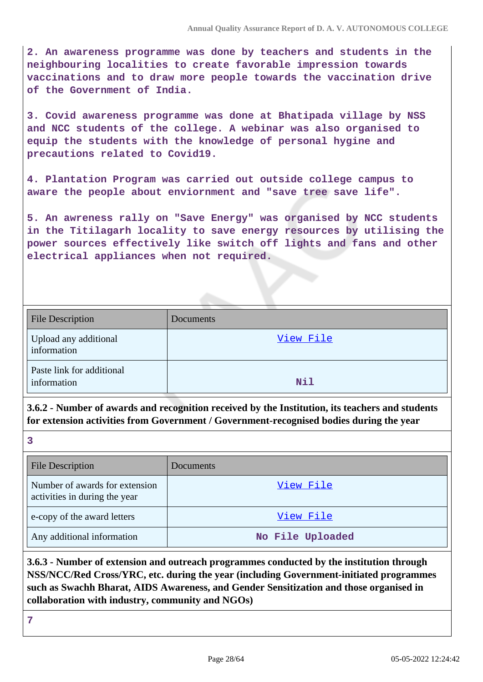**2. An awareness programme was done by teachers and students in the neighbouring localities to create favorable impression towards vaccinations and to draw more people towards the vaccination drive of the Government of India.**

**3. Covid awareness programme was done at Bhatipada village by NSS and NCC students of the college. A webinar was also organised to equip the students with the knowledge of personal hygine and precautions related to Covid19.**

**4. Plantation Program was carried out outside college campus to aware the people about enviornment and "save tree save life".**

**5. An awreness rally on "Save Energy" was organised by NCC students in the Titilagarh locality to save energy resources by utilising the power sources effectively like switch off lights and fans and other electrical appliances when not required.**

| <b>File Description</b>                  | Documents |
|------------------------------------------|-----------|
| Upload any additional<br>information     | View File |
| Paste link for additional<br>information | Nil       |

**3.6.2 - Number of awards and recognition received by the Institution, its teachers and students for extension activities from Government / Government-recognised bodies during the year**

**3**

| <b>File Description</b>                                         | <b>Documents</b> |
|-----------------------------------------------------------------|------------------|
| Number of awards for extension<br>activities in during the year | View File        |
| e-copy of the award letters                                     | View File        |
| Any additional information                                      | No File Uploaded |

**3.6.3 - Number of extension and outreach programmes conducted by the institution through NSS/NCC/Red Cross/YRC, etc. during the year (including Government-initiated programmes such as Swachh Bharat, AIDS Awareness, and Gender Sensitization and those organised in collaboration with industry, community and NGOs)**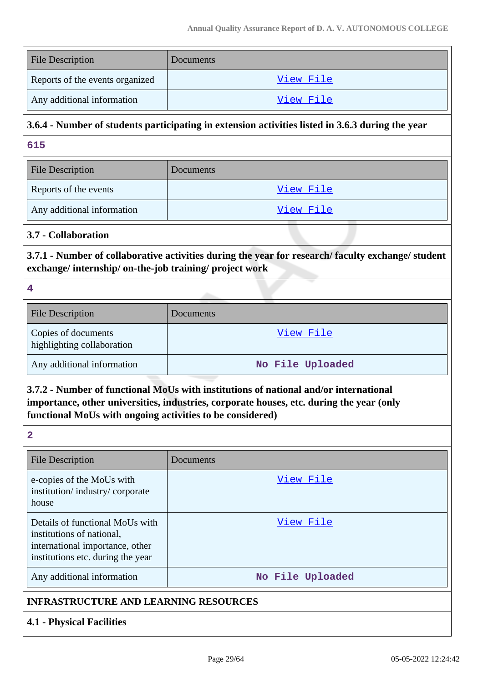| <b>File Description</b>         | <b>Documents</b> |
|---------------------------------|------------------|
| Reports of the events organized | View File        |
| Any additional information      | <u>View File</u> |

### **3.6.4 - Number of students participating in extension activities listed in 3.6.3 during the year**

**615**

| <b>File Description</b>    | Documents |
|----------------------------|-----------|
| Reports of the events      | View File |
| Any additional information | View File |

### **3.7 - Collaboration**

**3.7.1 - Number of collaborative activities during the year for research/ faculty exchange/ student exchange/ internship/ on-the-job training/ project work**

**4**

| <b>File Description</b>                           | Documents        |
|---------------------------------------------------|------------------|
| Copies of documents<br>highlighting collaboration | View File        |
| Any additional information                        | No File Uploaded |

# **3.7.2 - Number of functional MoUs with institutions of national and/or international importance, other universities, industries, corporate houses, etc. during the year (only functional MoUs with ongoing activities to be considered)**

| <b>File Description</b>                                                                                                              | Documents        |
|--------------------------------------------------------------------------------------------------------------------------------------|------------------|
| e-copies of the MoUs with<br>institution/industry/corporate<br>house                                                                 | View File        |
| Details of functional MoUs with<br>institutions of national,<br>international importance, other<br>institutions etc. during the year | View File        |
| Any additional information                                                                                                           | No File Uploaded |

### **4.1 - Physical Facilities**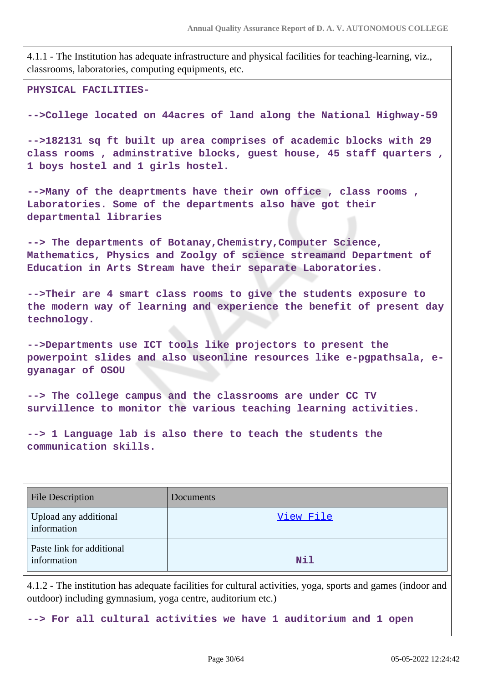4.1.1 - The Institution has adequate infrastructure and physical facilities for teaching-learning, viz., classrooms, laboratories, computing equipments, etc.

**PHYSICAL FACILITIES-**

**-->College located on 44acres of land along the National Highway-59**

**-->182131 sq ft built up area comprises of academic blocks with 29 class rooms , adminstrative blocks, guest house, 45 staff quarters , 1 boys hostel and 1 girls hostel.**

**-->Many of the deaprtments have their own office , class rooms , Laboratories. Some of the departments also have got their departmental libraries**

**--> The departments of Botanay,Chemistry,Computer Science, Mathematics, Physics and Zoolgy of science streamand Department of Education in Arts Stream have their separate Laboratories.**

**-->Their are 4 smart class rooms to give the students exposure to the modern way of learning and experience the benefit of present day technology.**

**-->Departments use ICT tools like projectors to present the powerpoint slides and also useonline resources like e-pgpathsala, egyanagar of OSOU**

**--> The college campus and the classrooms are under CC TV survillence to monitor the various teaching learning activities.**

**--> 1 Language lab is also there to teach the students the communication skills.**

| <b>File Description</b>                  | Documents |
|------------------------------------------|-----------|
| Upload any additional<br>information     | View File |
| Paste link for additional<br>information | Nil       |

4.1.2 - The institution has adequate facilities for cultural activities, yoga, sports and games (indoor and outdoor) including gymnasium, yoga centre, auditorium etc.)

**--> For all cultural activities we have 1 auditorium and 1 open**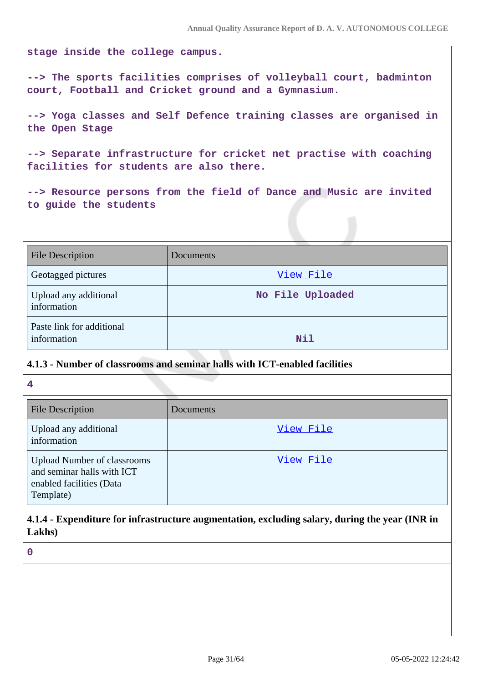**stage inside the college campus.**

**--> The sports facilities comprises of volleyball court, badminton court, Football and Cricket ground and a Gymnasium.**

**--> Yoga classes and Self Defence training classes are organised in the Open Stage**

**--> Separate infrastructure for cricket net practise with coaching facilities for students are also there.**

**--> Resource persons from the field of Dance and Music are invited to guide the students**

| <b>File Description</b>                  | Documents        |
|------------------------------------------|------------------|
| Geotagged pictures                       | View File        |
| Upload any additional<br>information     | No File Uploaded |
| Paste link for additional<br>information | Nil              |

#### **4.1.3 - Number of classrooms and seminar halls with ICT-enabled facilities**

**4**

| <b>File Description</b>                                                                                   | Documents |
|-----------------------------------------------------------------------------------------------------------|-----------|
| Upload any additional<br>information                                                                      | View File |
| <b>Upload Number of classrooms</b><br>and seminar halls with ICT<br>enabled facilities (Data<br>Template) | View File |

**4.1.4 - Expenditure for infrastructure augmentation, excluding salary, during the year (INR in Lakhs)**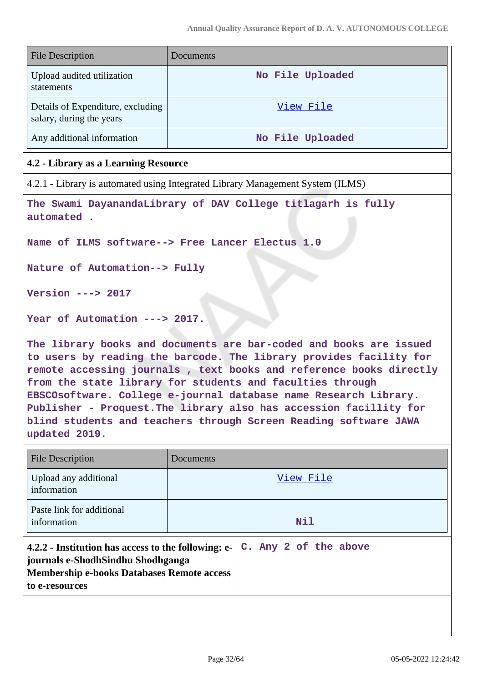| <b>File Description</b>                                       | Documents        |
|---------------------------------------------------------------|------------------|
| Upload audited utilization<br>statements                      | No File Uploaded |
| Details of Expenditure, excluding<br>salary, during the years | View File        |
| Any additional information                                    | No File Uploaded |

### **4.2 - Library as a Learning Resource**

4.2.1 - Library is automated using Integrated Library Management System (ILMS)

**The Swami DayanandaLibrary of DAV College titlagarh is fully automated .**

**Name of ILMS software--> Free Lancer Electus 1.0**

**Nature of Automation--> Fully**

**Version ---> 2017**

**Year of Automation ---> 2017.**

**The library books and documents are bar-coded and books are issued to users by reading the barcode. The library provides facility for remote accessing journals , text books and reference books directly from the state library for students and faculties through EBSCOsoftware. College e-journal database name Research Library. Publisher - Proquest.The library also has accession facillity for blind students and teachers through Screen Reading software JAWA updated 2019.**

| File Description                                                                                                                                                | Documents |                       |
|-----------------------------------------------------------------------------------------------------------------------------------------------------------------|-----------|-----------------------|
| Upload any additional<br>information                                                                                                                            |           | View File             |
| Paste link for additional<br>information                                                                                                                        |           | Nil                   |
| 4.2.2 - Institution has access to the following: e-<br>journals e-ShodhSindhu Shodhganga<br><b>Membership e-books Databases Remote access</b><br>to e-resources |           | C. Any 2 of the above |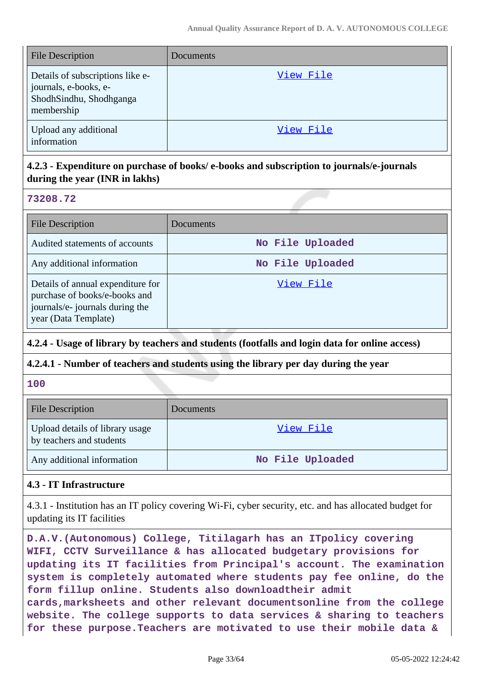| <b>File Description</b>                                                                            | Documents |
|----------------------------------------------------------------------------------------------------|-----------|
| Details of subscriptions like e-<br>journals, e-books, e-<br>ShodhSindhu, Shodhganga<br>membership | View File |
| Upload any additional<br>information                                                               | View File |

### **4.2.3 - Expenditure on purchase of books/ e-books and subscription to journals/e-journals during the year (INR in lakhs)**

### **73208.72**

| <b>File Description</b>                                                                                                       | Documents        |
|-------------------------------------------------------------------------------------------------------------------------------|------------------|
| Audited statements of accounts                                                                                                | No File Uploaded |
| Any additional information                                                                                                    | No File Uploaded |
| Details of annual expenditure for<br>purchase of books/e-books and<br>journals/e- journals during the<br>year (Data Template) | View File        |

### **4.2.4 - Usage of library by teachers and students (footfalls and login data for online access)**

### **4.2.4.1 - Number of teachers and students using the library per day during the year**

### **100**

| <b>File Description</b>                                     | <b>Documents</b> |
|-------------------------------------------------------------|------------------|
| Upload details of library usage<br>by teachers and students | View File        |
| Any additional information                                  | No File Uploaded |

### **4.3 - IT Infrastructure**

4.3.1 - Institution has an IT policy covering Wi-Fi, cyber security, etc. and has allocated budget for updating its IT facilities

**D.A.V.(Autonomous) College, Titilagarh has an ITpolicy covering WIFI, CCTV Surveillance & has allocated budgetary provisions for updating its IT facilities from Principal's account. The examination system is completely automated where students pay fee online, do the form fillup online. Students also downloadtheir admit cards,marksheets and other relevant documentsonline from the college website. The college supports to data services & sharing to teachers for these purpose.Teachers are motivated to use their mobile data &**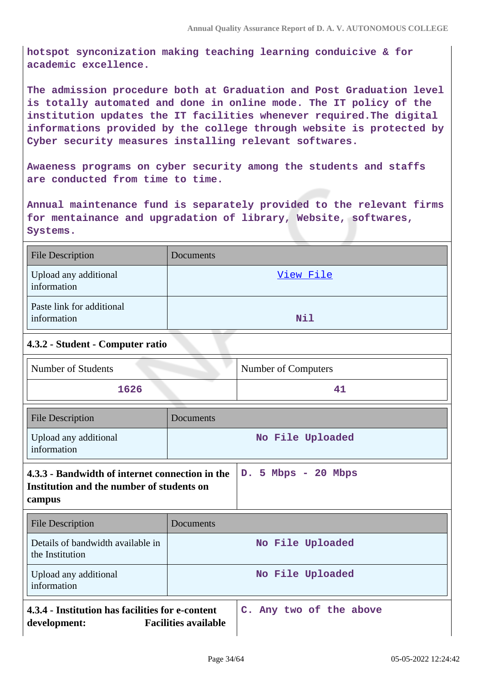**hotspot synconization making teaching learning conduicive & for academic excellence.**

**The admission procedure both at Graduation and Post Graduation level is totally automated and done in online mode. The IT policy of the institution updates the IT facilities whenever required.The digital informations provided by the college through website is protected by Cyber security measures installing relevant softwares.**

**Awaeness programs on cyber security among the students and staffs are conducted from time to time.**

**Annual maintenance fund is separately provided to the relevant firms for mentainance and upgradation of library, Website, softwares, Systems.**

| <b>File Description</b>                  | Documents  |
|------------------------------------------|------------|
| Upload any additional<br>information     | View File  |
| Paste link for additional<br>information | <b>Nil</b> |

## **4.3.2 - Student - Computer ratio**

| Number of Students | Number of Computers |
|--------------------|---------------------|
| 1626               |                     |

| <b>File Description</b>                                                                                | Documents |                       |
|--------------------------------------------------------------------------------------------------------|-----------|-----------------------|
| Upload any additional<br>information                                                                   |           | No File Uploaded      |
| 4.3.3 - Bandwidth of internet connection in the<br>Institution and the number of students on<br>campus |           | $D. 5 Mbps - 20 Mbps$ |
| <b>File Description</b>                                                                                | Documents |                       |
| Details of bandwidth available in<br>the Institution                                                   |           | No File Uploaded      |
| Upload any additional<br>information                                                                   |           | No File Uploaded      |
| 4.3.4 - Institution has facilities for e-content<br>C. Any two of the above                            |           |                       |

**development: Facilities available**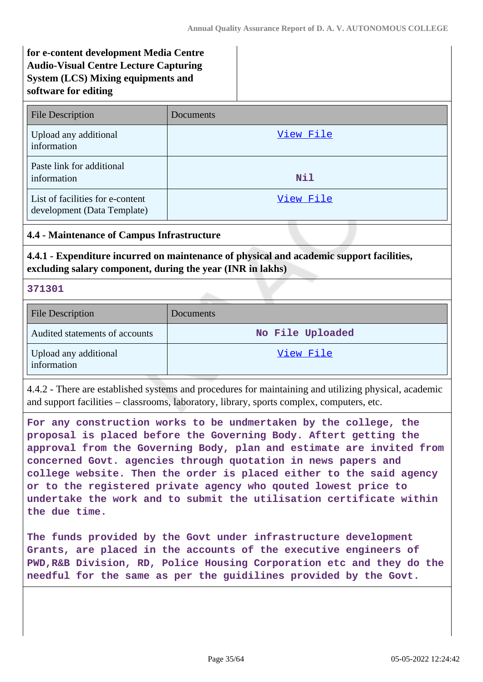# **for e-content development Media Centre Audio-Visual Centre Lecture Capturing System (LCS) Mixing equipments and software for editing**

| <b>File Description</b>                                         | Documents |
|-----------------------------------------------------------------|-----------|
| Upload any additional<br>information                            | View File |
| Paste link for additional<br>information                        | Nil       |
| List of facilities for e-content<br>development (Data Template) | View File |

#### **4.4 - Maintenance of Campus Infrastructure**

**4.4.1 - Expenditure incurred on maintenance of physical and academic support facilities, excluding salary component, during the year (INR in lakhs)**

**371301**

| <b>File Description</b>              | Documents        |
|--------------------------------------|------------------|
| Audited statements of accounts       | No File Uploaded |
| Upload any additional<br>information | View File        |

4.4.2 - There are established systems and procedures for maintaining and utilizing physical, academic and support facilities – classrooms, laboratory, library, sports complex, computers, etc.

**For any construction works to be undmertaken by the college, the proposal is placed before the Governing Body. Aftert getting the approval from the Governing Body, plan and estimate are invited from concerned Govt. agencies through quotation in news papers and college website. Then the order is placed either to the said agency or to the registered private agency who qouted lowest price to undertake the work and to submit the utilisation certificate within the due time.**

**The funds provided by the Govt under infrastructure development Grants, are placed in the accounts of the executive engineers of PWD,R&B Division, RD, Police Housing Corporation etc and they do the needful for the same as per the guidilines provided by the Govt.**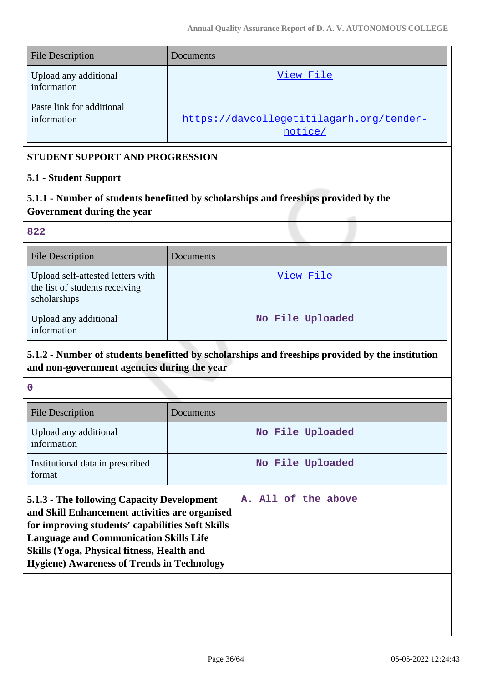| <b>File Description</b>                  | <b>Documents</b>                                    |
|------------------------------------------|-----------------------------------------------------|
| Upload any additional<br>information     | View File                                           |
| Paste link for additional<br>information | https://davcollegetitilagarh.org/tender-<br>notice/ |

### **STUDENT SUPPORT AND PROGRESSION**

### **5.1 - Student Support**

**5.1.1 - Number of students benefitted by scholarships and freeships provided by the Government during the year**

#### **822**

| <b>File Description</b>                                                             | <b>Documents</b> |
|-------------------------------------------------------------------------------------|------------------|
| Upload self-attested letters with<br>the list of students receiving<br>scholarships | View File        |
| Upload any additional<br>information                                                | No File Uploaded |

# **5.1.2 - Number of students benefitted by scholarships and freeships provided by the institution and non-government agencies during the year**

| <b>File Description</b>                                                                                                                                                                                                                                                                              | Documents |                     |
|------------------------------------------------------------------------------------------------------------------------------------------------------------------------------------------------------------------------------------------------------------------------------------------------------|-----------|---------------------|
| Upload any additional<br>information                                                                                                                                                                                                                                                                 |           | No File Uploaded    |
| Institutional data in prescribed<br>format                                                                                                                                                                                                                                                           |           | No File Uploaded    |
| 5.1.3 - The following Capacity Development<br>and Skill Enhancement activities are organised<br>for improving students' capabilities Soft Skills<br><b>Language and Communication Skills Life</b><br>Skills (Yoga, Physical fitness, Health and<br><b>Hygiene) Awareness of Trends in Technology</b> |           | A. All of the above |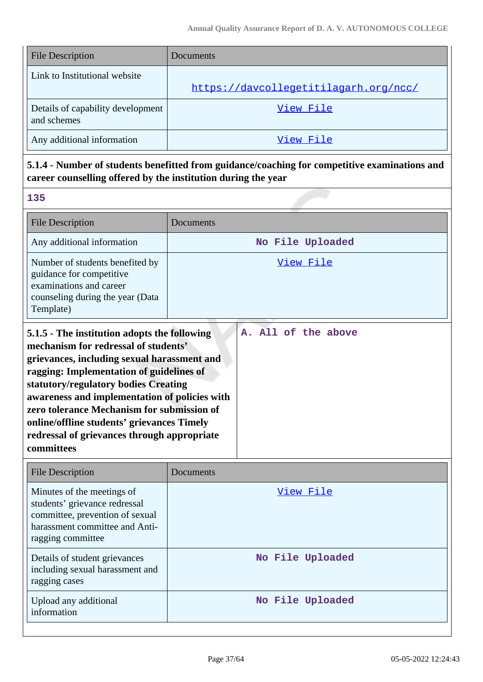| <b>File Description</b>                          | Documents                             |
|--------------------------------------------------|---------------------------------------|
| Link to Institutional website                    |                                       |
|                                                  | https://davcollegetitilagarh.org/ncc/ |
| Details of capability development<br>and schemes | View File                             |
| Any additional information                       | View File                             |

# **5.1.4 - Number of students benefitted from guidance/coaching for competitive examinations and career counselling offered by the institution during the year**

| <b>File Description</b>                                                                                                                                                                                                                                                                                                                                                                                                           | Documents           |
|-----------------------------------------------------------------------------------------------------------------------------------------------------------------------------------------------------------------------------------------------------------------------------------------------------------------------------------------------------------------------------------------------------------------------------------|---------------------|
| Any additional information                                                                                                                                                                                                                                                                                                                                                                                                        | No File Uploaded    |
| Number of students benefited by<br>guidance for competitive<br>examinations and career<br>counseling during the year (Data<br>Template)                                                                                                                                                                                                                                                                                           | View File           |
| 5.1.5 - The institution adopts the following<br>mechanism for redressal of students'<br>grievances, including sexual harassment and<br>ragging: Implementation of guidelines of<br>statutory/regulatory bodies Creating<br>awareness and implementation of policies with<br>zero tolerance Mechanism for submission of<br>online/offline students' grievances Timely<br>redressal of grievances through appropriate<br>committees | A. All of the above |

| <b>File Description</b>                                                                                                                               | Documents        |
|-------------------------------------------------------------------------------------------------------------------------------------------------------|------------------|
| Minutes of the meetings of<br>students' grievance redressal<br>committee, prevention of sexual<br>harassment committee and Anti-<br>ragging committee | View File        |
| Details of student grievances<br>including sexual harassment and<br>ragging cases                                                                     | No File Uploaded |
| Upload any additional<br>information                                                                                                                  | No File Uploaded |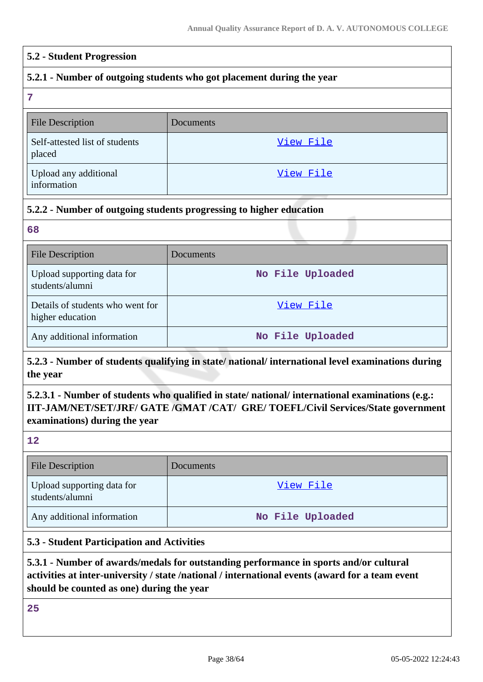#### **5.2 - Student Progression**

#### **5.2.1 - Number of outgoing students who got placement during the year**

**7**

| <b>File Description</b>                  | <b>Documents</b> |
|------------------------------------------|------------------|
|                                          |                  |
| Self-attested list of students<br>placed | View File        |
| Upload any additional<br>information     | View File        |

#### **5.2.2 - Number of outgoing students progressing to higher education**

**68**

| <b>File Description</b>                              | Documents        |
|------------------------------------------------------|------------------|
| Upload supporting data for<br>students/alumni        | No File Uploaded |
| Details of students who went for<br>higher education | View File        |
| Any additional information                           | No File Uploaded |

### **5.2.3 - Number of students qualifying in state/ national/ international level examinations during the year**

# **5.2.3.1 - Number of students who qualified in state/ national/ international examinations (e.g.: IIT-JAM/NET/SET/JRF/ GATE /GMAT /CAT/ GRE/ TOEFL/Civil Services/State government examinations) during the year**

**12**

| <b>File Description</b>                       | Documents        |
|-----------------------------------------------|------------------|
| Upload supporting data for<br>students/alumni | View File        |
| Any additional information                    | No File Uploaded |

### **5.3 - Student Participation and Activities**

### **5.3.1 - Number of awards/medals for outstanding performance in sports and/or cultural activities at inter-university / state /national / international events (award for a team event should be counted as one) during the year**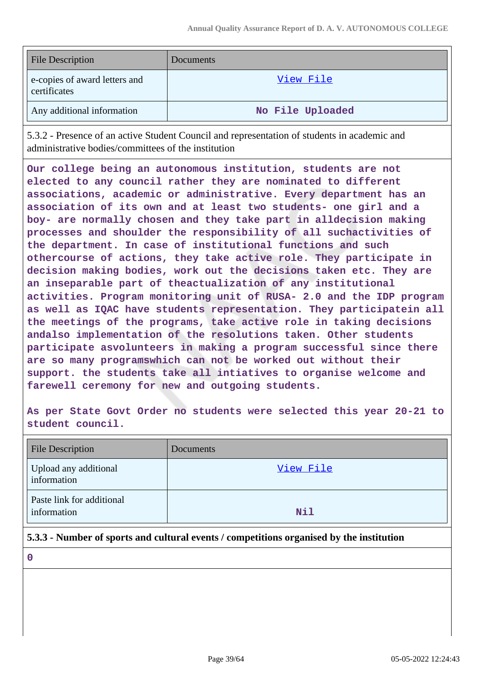| <b>File Description</b>                       | <b>Documents</b> |
|-----------------------------------------------|------------------|
| e-copies of award letters and<br>certificates | View File        |
| Any additional information                    | No File Uploaded |

5.3.2 - Presence of an active Student Council and representation of students in academic and administrative bodies/committees of the institution

**Our college being an autonomous institution, students are not elected to any council rather they are nominated to different associations, academic or administrative. Every department has an association of its own and at least two students- one girl and a boy- are normally chosen and they take part in alldecision making processes and shoulder the responsibility of all suchactivities of the department. In case of institutional functions and such othercourse of actions, they take active role. They participate in decision making bodies, work out the decisions taken etc. They are an inseparable part of theactualization of any institutional activities. Program monitoring unit of RUSA- 2.0 and the IDP program as well as IQAC have students representation. They participatein all the meetings of the programs, take active role in taking decisions andalso implementation of the resolutions taken. Other students participate asvolunteers in making a program successful since there are so many programswhich can not be worked out without their support. the students take all intiatives to organise welcome and farewell ceremony for new and outgoing students.**

**As per State Govt Order no students were selected this year 20-21 to student council.**

| <b>File Description</b>                  | Documents |
|------------------------------------------|-----------|
| Upload any additional<br>information     | View File |
| Paste link for additional<br>information | Nil       |

### **5.3.3 - Number of sports and cultural events / competitions organised by the institution**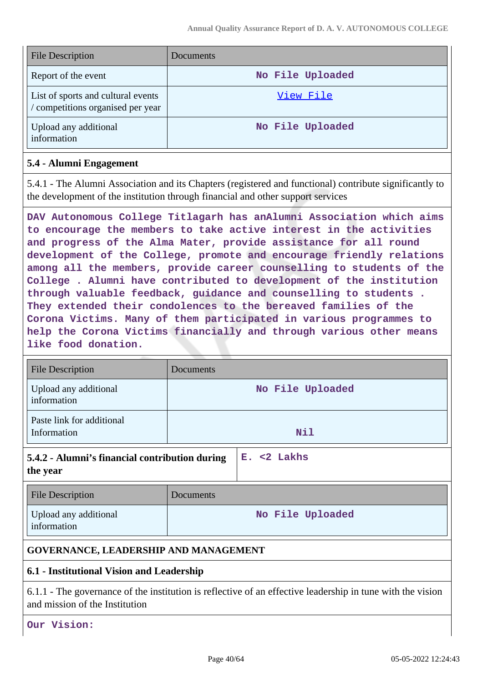| <b>File Description</b>                                               | <b>Documents</b> |
|-----------------------------------------------------------------------|------------------|
| Report of the event                                                   | No File Uploaded |
| List of sports and cultural events<br>competitions organised per year | View File        |
| Upload any additional<br>information                                  | No File Uploaded |

#### **5.4 - Alumni Engagement**

5.4.1 - The Alumni Association and its Chapters (registered and functional) contribute significantly to the development of the institution through financial and other support services

**DAV Autonomous College Titlagarh has anAlumni Association which aims to encourage the members to take active interest in the activities and progress of the Alma Mater, provide assistance for all round development of the College, promote and encourage friendly relations among all the members, provide career counselling to students of the College . Alumni have contributed to development of the institution through valuable feedback, guidance and counselling to students . They extended their condolences to the bereaved families of the Corona Victims. Many of them participated in various programmes to help the Corona Victims financially and through various other means like food donation.**

| <b>File Description</b>                                                      | Documents        |  |
|------------------------------------------------------------------------------|------------------|--|
| Upload any additional<br>information                                         | No File Uploaded |  |
| Paste link for additional<br>Information                                     | Nil              |  |
| $E. < 2$ Lakhs<br>5.4.2 - Alumni's financial contribution during<br>the year |                  |  |
| <b>File Description</b>                                                      | Documents        |  |
| Upload any additional<br>information                                         | No File Uploaded |  |
| <b>GOVERNANCE, LEADERSHIP AND MANAGEMENT</b>                                 |                  |  |
| 6.1 - Institutional Vision and Leadership                                    |                  |  |

6.1.1 - The governance of the institution is reflective of an effective leadership in tune with the vision and mission of the Institution

**Our Vision:**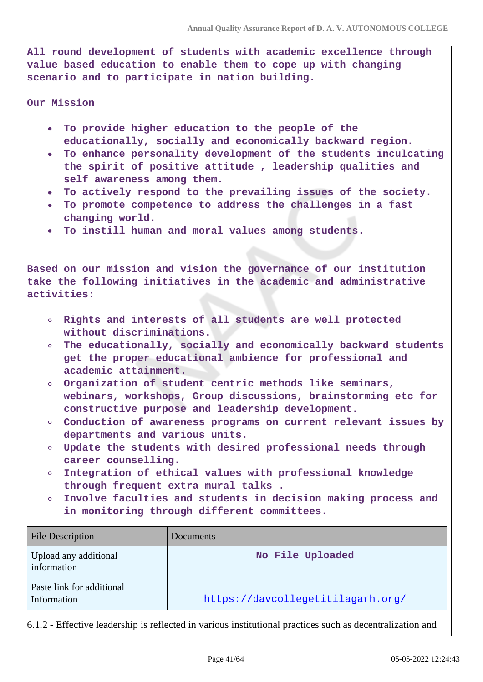**All round development of students with academic excellence through value based education to enable them to cope up with changing scenario and to participate in nation building.**

**Our Mission**

- **To provide higher education to the people of the**  $\bullet$ **educationally, socially and economically backward region.**
- **To enhance personality development of the students inculcating the spirit of positive attitude , leadership qualities and self awareness among them.**
- **To actively respond to the prevailing issues of the society.**
- **To promote competence to address the challenges in a fast changing world.**
- **To instill human and moral values among students.**

**Based on our mission and vision the governance of our institution take the following initiatives in the academic and administrative activities:**

- **Rights and interests of all students are well protected without discriminations.**
- **The educationally, socially and economically backward students get the proper educational ambience for professional and academic attainment.**
- **Organization of student centric methods like seminars, webinars, workshops, Group discussions, brainstorming etc for constructive purpose and leadership development.**
- **Conduction of awareness programs on current relevant issues by departments and various units.**
- **Update the students with desired professional needs through career counselling.**
- **Integration of ethical values with professional knowledge**  $\circ$ **through frequent extra mural talks .**
- **Involve faculties and students in decision making process and**  $\circ$ **in monitoring through different committees.**

| File Description                         | Documents                         |
|------------------------------------------|-----------------------------------|
| Upload any additional<br>information     | No File Uploaded                  |
| Paste link for additional<br>Information | https://davcollegetitilagarh.org/ |

6.1.2 - Effective leadership is reflected in various institutional practices such as decentralization and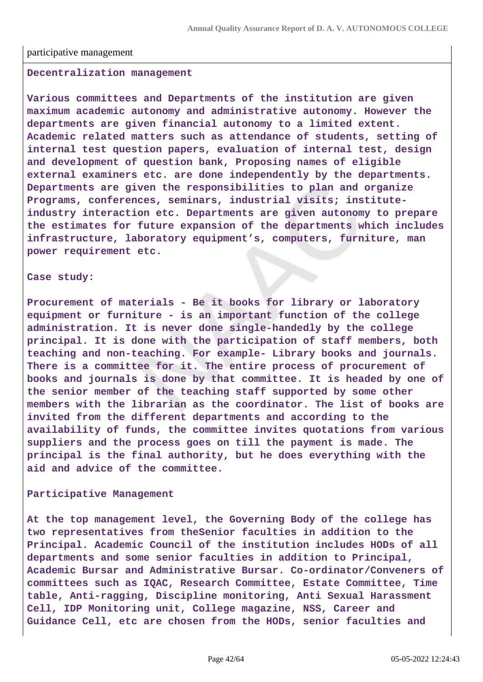#### participative management

#### **Decentralization management**

**Various committees and Departments of the institution are given maximum academic autonomy and administrative autonomy. However the departments are given financial autonomy to a limited extent. Academic related matters such as attendance of students, setting of internal test question papers, evaluation of internal test, design and development of question bank, Proposing names of eligible external examiners etc. are done independently by the departments. Departments are given the responsibilities to plan and organize Programs, conferences, seminars, industrial visits; instituteindustry interaction etc. Departments are given autonomy to prepare the estimates for future expansion of the departments which includes infrastructure, laboratory equipment's, computers, furniture, man power requirement etc.**

#### **Case study:**

**Procurement of materials - Be it books for library or laboratory equipment or furniture - is an important function of the college administration. It is never done single-handedly by the college principal. It is done with the participation of staff members, both teaching and non-teaching. For example- Library books and journals. There is a committee for it. The entire process of procurement of books and journals is done by that committee. It is headed by one of the senior member of the teaching staff supported by some other members with the librarian as the coordinator. The list of books are invited from the different departments and according to the availability of funds, the committee invites quotations from various suppliers and the process goes on till the payment is made. The principal is the final authority, but he does everything with the aid and advice of the committee.**

#### **Participative Management**

**At the top management level, the Governing Body of the college has two representatives from theSenior faculties in addition to the Principal. Academic Council of the institution includes HODs of all departments and some senior faculties in addition to Principal, Academic Bursar and Administrative Bursar. Co-ordinator/Conveners of committees such as IQAC, Research Committee, Estate Committee, Time table, Anti-ragging, Discipline monitoring, Anti Sexual Harassment Cell, IDP Monitoring unit, College magazine, NSS, Career and Guidance Cell, etc are chosen from the HODs, senior faculties and**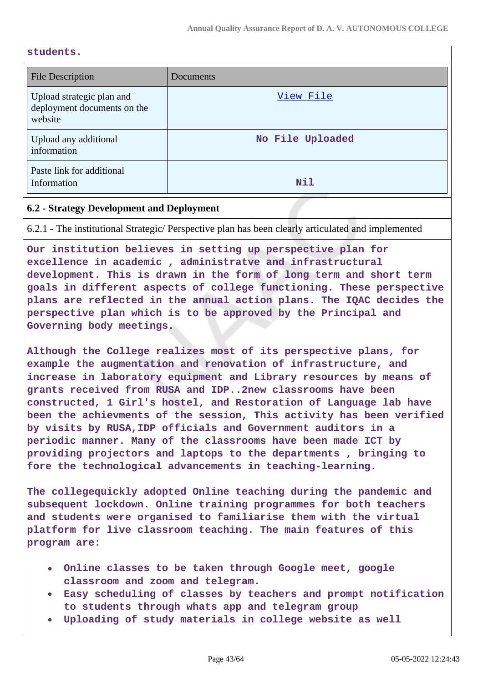#### **students.**

| <b>File Description</b>                                             | Documents        |
|---------------------------------------------------------------------|------------------|
| Upload strategic plan and<br>deployment documents on the<br>website | View File        |
| Upload any additional<br>information                                | No File Uploaded |
| Paste link for additional<br>Information                            | Nil              |

#### **6.2 - Strategy Development and Deployment**

6.2.1 - The institutional Strategic/ Perspective plan has been clearly articulated and implemented

**Our institution believes in setting up perspective plan for excellence in academic , administratve and infrastructural development. This is drawn in the form of long term and short term goals in different aspects of college functioning. These perspective plans are reflected in the annual action plans. The IQAC decides the perspective plan which is to be approved by the Principal and Governing body meetings.**

**Although the College realizes most of its perspective plans, for example the augmentation and renovation of infrastructure, and increase in laboratory equipment and Library resources by means of grants received from RUSA and IDP..2new classrooms have been constructed, 1 Girl's hostel, and Restoration of Language lab have been the achievments of the session, This activity has been verified by visits by RUSA,IDP officials and Government auditors in a periodic manner. Many of the classrooms have been made ICT by providing projectors and laptops to the departments , bringing to fore the technological advancements in teaching-learning.**

**The collegequickly adopted Online teaching during the pandemic and subsequent lockdown. Online training programmes for both teachers and students were organised to familiarise them with the virtual platform for live classroom teaching. The main features of this program are:**

- **Online classes to be taken through Google meet, google classroom and zoom and telegram.**
- **Easy scheduling of classes by teachers and prompt notification to students through whats app and telegram group**
- **Uploading of study materials in college website as well**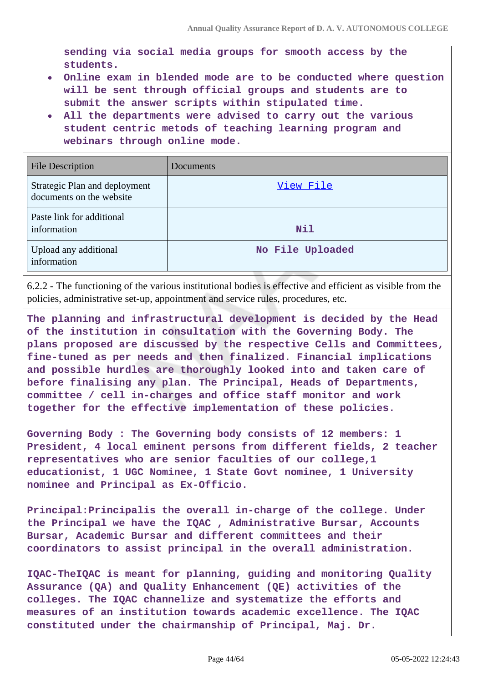**sending via social media groups for smooth access by the students.**

- **Online exam in blended mode are to be conducted where question will be sent through official groups and students are to submit the answer scripts within stipulated time.**
- **All the departments were advised to carry out the various student centric metods of teaching learning program and webinars through online mode.**

| <b>File Description</b>                                   | Documents        |
|-----------------------------------------------------------|------------------|
| Strategic Plan and deployment<br>documents on the website | View File        |
| Paste link for additional<br>information                  | Nil              |
| Upload any additional<br>information                      | No File Uploaded |

6.2.2 - The functioning of the various institutional bodies is effective and efficient as visible from the policies, administrative set-up, appointment and service rules, procedures, etc.

**The planning and infrastructural development is decided by the Head of the institution in consultation with the Governing Body. The plans proposed are discussed by the respective Cells and Committees, fine-tuned as per needs and then finalized. Financial implications and possible hurdles are thoroughly looked into and taken care of before finalising any plan. The Principal, Heads of Departments, committee / cell in-charges and office staff monitor and work together for the effective implementation of these policies.**

**Governing Body : The Governing body consists of 12 members: 1 President, 4 local eminent persons from different fields, 2 teacher representatives who are senior faculties of our college,1 educationist, 1 UGC Nominee, 1 State Govt nominee, 1 University nominee and Principal as Ex-Officio.**

**Principal:Principalis the overall in-charge of the college. Under the Principal we have the IQAC , Administrative Bursar, Accounts Bursar, Academic Bursar and different committees and their coordinators to assist principal in the overall administration.**

**IQAC-TheIQAC is meant for planning, guiding and monitoring Quality Assurance (QA) and Quality Enhancement (QE) activities of the colleges. The IQAC channelize and systematize the efforts and measures of an institution towards academic excellence. The IQAC constituted under the chairmanship of Principal, Maj. Dr.**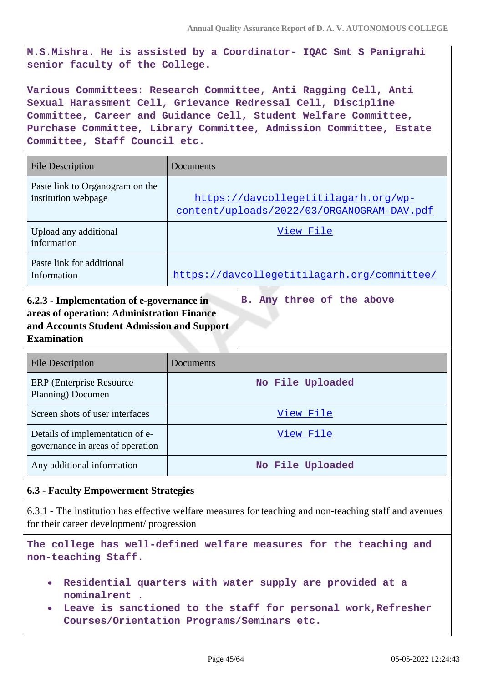**M.S.Mishra. He is assisted by a Coordinator- IQAC Smt S Panigrahi senior faculty of the College.**

**Various Committees: Research Committee, Anti Ragging Cell, Anti Sexual Harassment Cell, Grievance Redressal Cell, Discipline Committee, Career and Guidance Cell, Student Welfare Committee, Purchase Committee, Library Committee, Admission Committee, Estate Committee, Staff Council etc.**

| <b>File Description</b>                                                                                                                                            | Documents                                                                          |
|--------------------------------------------------------------------------------------------------------------------------------------------------------------------|------------------------------------------------------------------------------------|
| Paste link to Organogram on the<br>institution webpage                                                                                                             | https://davcollegetitilagarh.org/wp-<br>content/uploads/2022/03/ORGANOGRAM-DAV.pdf |
| Upload any additional<br>information                                                                                                                               | View File                                                                          |
| Paste link for additional<br>Information                                                                                                                           | https://davcollegetitilagarh.org/committee/                                        |
| B. Any three of the above<br>6.2.3 - Implementation of e-governance in<br>areas of operation: Administration Finance<br>and Accounts Student Admission and Support |                                                                                    |

| <b>File Description</b>                                             | Documents        |
|---------------------------------------------------------------------|------------------|
| ERP (Enterprise Resource)<br>Planning) Documen                      | No File Uploaded |
| Screen shots of user interfaces                                     | View File        |
| Details of implementation of e-<br>governance in areas of operation | View File        |
| Any additional information                                          | No File Uploaded |

#### **6.3 - Faculty Empowerment Strategies**

**Examination**

6.3.1 - The institution has effective welfare measures for teaching and non-teaching staff and avenues for their career development/ progression

**The college has well-defined welfare measures for the teaching and non-teaching Staff.**

- **Residential quarters with water supply are provided at a nominalrent .**
- **Leave is sanctioned to the staff for personal work,Refresher Courses/Orientation Programs/Seminars etc.**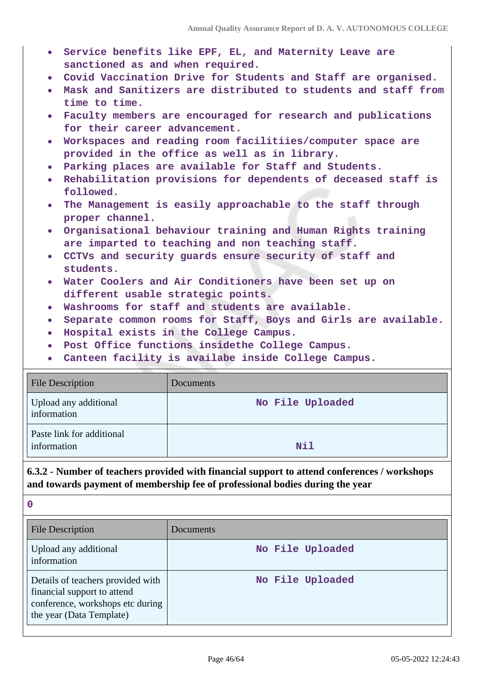- **Service benefits like EPF, EL, and Maternity Leave are sanctioned as and when required.**
- **Covid Vaccination Drive for Students and Staff are organised.**
- **Mask and Sanitizers are distributed to students and staff from time to time.**
- **Faculty members are encouraged for research and publications for their career advancement.**
- **Workspaces and reading room facilitiies/computer space are provided in the office as well as in library.**
- **Parking places are available for Staff and Students.**
- **Rehabilitation provisions for dependents of deceased staff is followed.**
- **The Management is easily approachable to the staff through proper channel.**
- **Organisational behaviour training and Human Rights training are imparted to teaching and non teaching staff.**
- **CCTVs and security guards ensure security of staff and students.**
- **Water Coolers and Air Conditioners have been set up on different usable strategic points.**
- **Washrooms for staff and students are available.**
- **Separate common rooms for Staff, Boys and Girls are available.**
- **Hospital exists in the College Campus.**
- **Post Office functions insidethe College Campus.**
- **Canteen facility is availabe inside College Campus.**  $\bullet$

| <b>File Description</b>                  | <b>Documents</b> |
|------------------------------------------|------------------|
| Upload any additional<br>information     | No File Uploaded |
| Paste link for additional<br>information | Nil              |

# **6.3.2 - Number of teachers provided with financial support to attend conferences / workshops and towards payment of membership fee of professional bodies during the year**

| File Description                                                                                                                 | Documents        |
|----------------------------------------------------------------------------------------------------------------------------------|------------------|
| Upload any additional<br>information                                                                                             | No File Uploaded |
| Details of teachers provided with<br>financial support to attend<br>conference, workshops etc during<br>the year (Data Template) | No File Uploaded |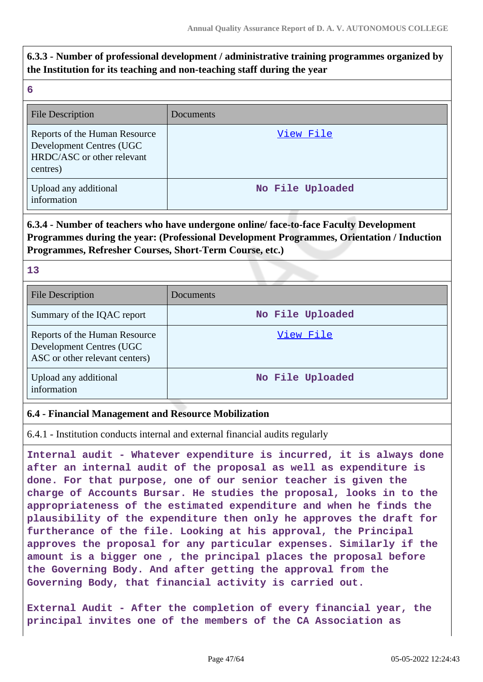# **6.3.3 - Number of professional development / administrative training programmes organized by the Institution for its teaching and non-teaching staff during the year**

| w |         |        |
|---|---------|--------|
|   | ٠<br>۰. | ı<br>I |

| <b>File Description</b>                                                                             | Documents        |
|-----------------------------------------------------------------------------------------------------|------------------|
| Reports of the Human Resource<br>Development Centres (UGC<br>HRDC/ASC or other relevant<br>centres) | View File        |
| Upload any additional<br>information                                                                | No File Uploaded |

### **6.3.4 - Number of teachers who have undergone online/ face-to-face Faculty Development Programmes during the year: (Professional Development Programmes, Orientation / Induction Programmes, Refresher Courses, Short-Term Course, etc.)**

#### **13**

| <b>File Description</b>                                                                     | Documents        |
|---------------------------------------------------------------------------------------------|------------------|
| Summary of the IQAC report                                                                  | No File Uploaded |
| Reports of the Human Resource<br>Development Centres (UGC<br>ASC or other relevant centers) | View File        |
| Upload any additional<br>information                                                        | No File Uploaded |

### **6.4 - Financial Management and Resource Mobilization**

6.4.1 - Institution conducts internal and external financial audits regularly

**Internal audit - Whatever expenditure is incurred, it is always done after an internal audit of the proposal as well as expenditure is done. For that purpose, one of our senior teacher is given the charge of Accounts Bursar. He studies the proposal, looks in to the appropriateness of the estimated expenditure and when he finds the plausibility of the expenditure then only he approves the draft for furtherance of the file. Looking at his approval, the Principal approves the proposal for any particular expenses. Similarly if the amount is a bigger one , the principal places the proposal before the Governing Body. And after getting the approval from the Governing Body, that financial activity is carried out.**

**External Audit - After the completion of every financial year, the principal invites one of the members of the CA Association as**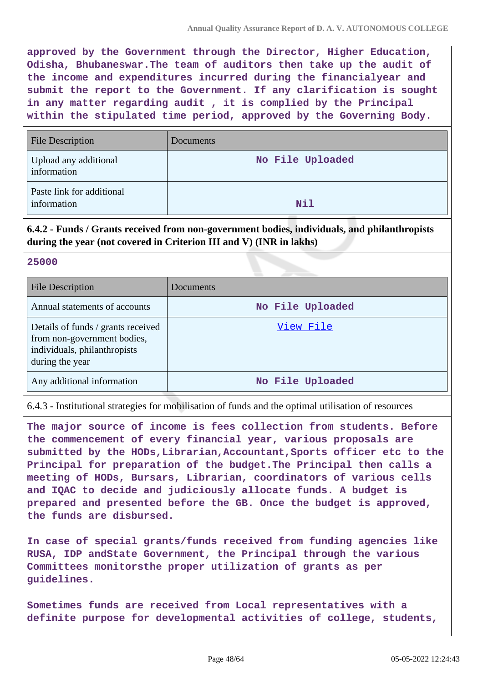**approved by the Government through the Director, Higher Education, Odisha, Bhubaneswar.The team of auditors then take up the audit of the income and expenditures incurred during the financialyear and submit the report to the Government. If any clarification is sought in any matter regarding audit , it is complied by the Principal within the stipulated time period, approved by the Governing Body.**

| <b>File Description</b>                  | Documents        |
|------------------------------------------|------------------|
| Upload any additional<br>information     | No File Uploaded |
| Paste link for additional<br>information | Nil              |

# **6.4.2 - Funds / Grants received from non-government bodies, individuals, and philanthropists during the year (not covered in Criterion III and V) (INR in lakhs)**

#### **25000**

| <b>File Description</b>                                                                                              | Documents        |
|----------------------------------------------------------------------------------------------------------------------|------------------|
| Annual statements of accounts                                                                                        | No File Uploaded |
| Details of funds / grants received<br>from non-government bodies,<br>individuals, philanthropists<br>during the year | View File        |
| Any additional information                                                                                           | No File Uploaded |

6.4.3 - Institutional strategies for mobilisation of funds and the optimal utilisation of resources

**The major source of income is fees collection from students. Before the commencement of every financial year, various proposals are submitted by the HODs,Librarian,Accountant,Sports officer etc to the Principal for preparation of the budget.The Principal then calls a meeting of HODs, Bursars, Librarian, coordinators of various cells and IQAC to decide and judiciously allocate funds. A budget is prepared and presented before the GB. Once the budget is approved, the funds are disbursed.**

**In case of special grants/funds received from funding agencies like RUSA, IDP andState Government, the Principal through the various Committees monitorsthe proper utilization of grants as per guidelines.**

**Sometimes funds are received from Local representatives with a definite purpose for developmental activities of college, students,**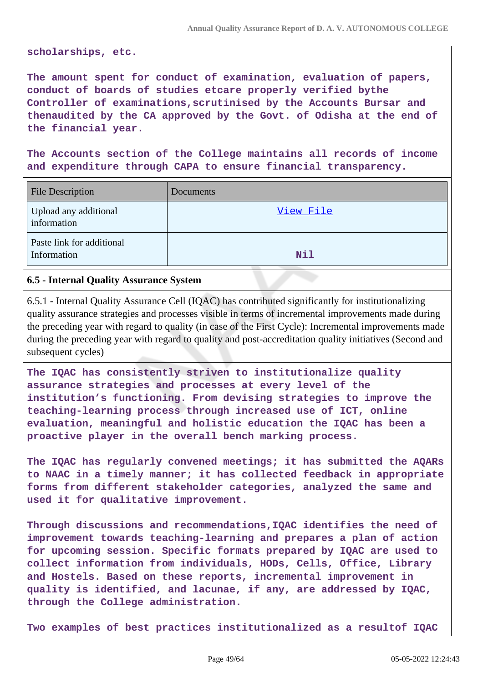**scholarships, etc.**

**The amount spent for conduct of examination, evaluation of papers, conduct of boards of studies etcare properly verified bythe Controller of examinations,scrutinised by the Accounts Bursar and thenaudited by the CA approved by the Govt. of Odisha at the end of the financial year.**

**The Accounts section of the College maintains all records of income and expenditure through CAPA to ensure financial transparency.**

| <b>File Description</b>                  | Documents  |
|------------------------------------------|------------|
| Upload any additional<br>information     | View File  |
| Paste link for additional<br>Information | <b>Nil</b> |

#### **6.5 - Internal Quality Assurance System**

6.5.1 - Internal Quality Assurance Cell (IQAC) has contributed significantly for institutionalizing quality assurance strategies and processes visible in terms of incremental improvements made during the preceding year with regard to quality (in case of the First Cycle): Incremental improvements made during the preceding year with regard to quality and post-accreditation quality initiatives (Second and subsequent cycles)

**The IQAC has consistently striven to institutionalize quality assurance strategies and processes at every level of the institution's functioning. From devising strategies to improve the teaching-learning process through increased use of ICT, online evaluation, meaningful and holistic education the IQAC has been a proactive player in the overall bench marking process.**

**The IQAC has regularly convened meetings; it has submitted the AQARs to NAAC in a timely manner; it has collected feedback in appropriate forms from different stakeholder categories, analyzed the same and used it for qualitative improvement.**

**Through discussions and recommendations,IQAC identifies the need of improvement towards teaching-learning and prepares a plan of action for upcoming session. Specific formats prepared by IQAC are used to collect information from individuals, HODs, Cells, Office, Library and Hostels. Based on these reports, incremental improvement in quality is identified, and lacunae, if any, are addressed by IQAC, through the College administration.**

**Two examples of best practices institutionalized as a resultof IQAC**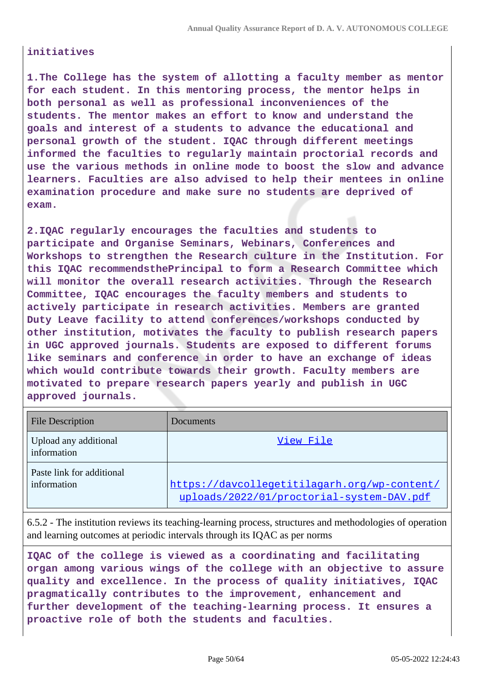#### **initiatives**

**1.The College has the system of allotting a faculty member as mentor for each student. In this mentoring process, the mentor helps in both personal as well as professional inconveniences of the students. The mentor makes an effort to know and understand the goals and interest of a students to advance the educational and personal growth of the student. IQAC through different meetings informed the faculties to regularly maintain proctorial records and use the various methods in online mode to boost the slow and advance learners. Faculties are also advised to help their mentees in online examination procedure and make sure no students are deprived of exam.**

**2.IQAC regularly encourages the faculties and students to participate and Organise Seminars, Webinars, Conferences and Workshops to strengthen the Research culture in the Institution. For this IQAC recommendsthePrincipal to form a Research Committee which will monitor the overall research activities. Through the Research Committee, IQAC encourages the faculty members and students to actively participate in research activities. Members are granted Duty Leave facility to attend conferences/workshops conducted by other institution, motivates the faculty to publish research papers in UGC approved journals. Students are exposed to different forums like seminars and conference in order to have an exchange of ideas which would contribute towards their growth. Faculty members are motivated to prepare research papers yearly and publish in UGC approved journals.**

| <b>File Description</b>                  | Documents                                                                                 |
|------------------------------------------|-------------------------------------------------------------------------------------------|
| Upload any additional<br>information     | View File                                                                                 |
| Paste link for additional<br>information | https://davcollegetitilagarh.org/wp-content/<br>uploads/2022/01/proctorial-system-DAV.pdf |

6.5.2 - The institution reviews its teaching-learning process, structures and methodologies of operation and learning outcomes at periodic intervals through its IQAC as per norms

**IQAC of the college is viewed as a coordinating and facilitating organ among various wings of the college with an objective to assure quality and excellence. In the process of quality initiatives, IQAC pragmatically contributes to the improvement, enhancement and further development of the teaching-learning process. It ensures a proactive role of both the students and faculties.**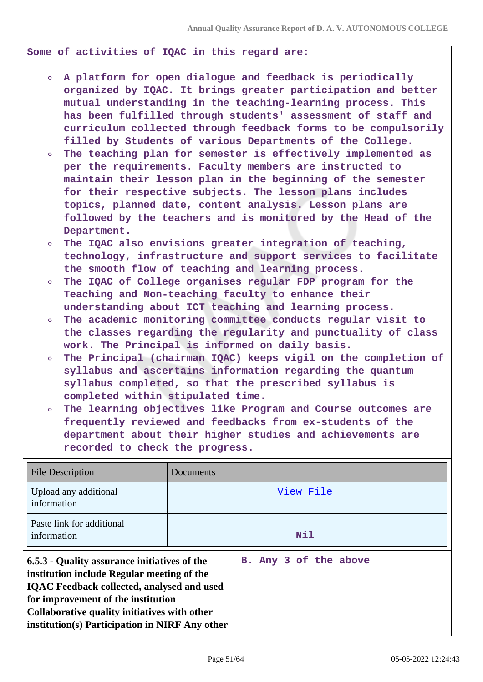**Some of activities of IQAC in this regard are:**

- **A platform for open dialogue and feedback is periodically organized by IQAC. It brings greater participation and better mutual understanding in the teaching-learning process. This has been fulfilled through students' assessment of staff and curriculum collected through feedback forms to be compulsorily filled by Students of various Departments of the College.**
- **The teaching plan for semester is effectively implemented as**  $\circ$ **per the requirements. Faculty members are instructed to maintain their lesson plan in the beginning of the semester for their respective subjects. The lesson plans includes topics, planned date, content analysis. Lesson plans are followed by the teachers and is monitored by the Head of the Department.**
- **The IQAC also envisions greater integration of teaching, technology, infrastructure and support services to facilitate the smooth flow of teaching and learning process.**
- **The IQAC of College organises regular FDP program for the Teaching and Non-teaching faculty to enhance their understanding about ICT teaching and learning process.**
- **The academic monitoring committee conducts regular visit to**  $\circ$ **the classes regarding the regularity and punctuality of class work. The Principal is informed on daily basis.**
- **The Principal (chairman IQAC) keeps vigil on the completion of**  $\circ$ **syllabus and ascertains information regarding the quantum syllabus completed, so that the prescribed syllabus is completed within stipulated time.**
- **The learning objectives like Program and Course outcomes are frequently reviewed and feedbacks from ex-students of the department about their higher studies and achievements are recorded to check the progress.**

| <b>File Description</b>                                                                                                                                                                                                                                                                 | Documents |                       |
|-----------------------------------------------------------------------------------------------------------------------------------------------------------------------------------------------------------------------------------------------------------------------------------------|-----------|-----------------------|
| Upload any additional<br>information                                                                                                                                                                                                                                                    |           | View File             |
| Paste link for additional<br>information                                                                                                                                                                                                                                                |           | Nil                   |
| 6.5.3 - Quality assurance initiatives of the<br>institution include Regular meeting of the<br><b>IQAC</b> Feedback collected, analysed and used<br>for improvement of the institution<br>Collaborative quality initiatives with other<br>institution(s) Participation in NIRF Any other |           | B. Any 3 of the above |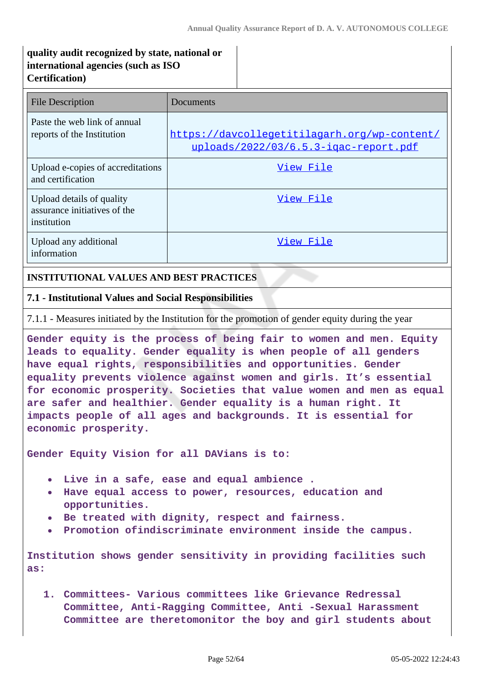# **quality audit recognized by state, national or international agencies (such as ISO Certification)**

| <b>File Description</b>                                                  | Documents                                                                             |
|--------------------------------------------------------------------------|---------------------------------------------------------------------------------------|
| Paste the web link of annual<br>reports of the Institution               | https://davcollegetitilagarh.org/wp-content/<br>uploads/2022/03/6.5.3-igac-report.pdf |
| Upload e-copies of accreditations<br>and certification                   | View File                                                                             |
| Upload details of quality<br>assurance initiatives of the<br>institution | View File                                                                             |
| Upload any additional<br>information                                     | View File                                                                             |

### **INSTITUTIONAL VALUES AND BEST PRACTICES**

### **7.1 - Institutional Values and Social Responsibilities**

7.1.1 - Measures initiated by the Institution for the promotion of gender equity during the year

**Gender equity is the process of being fair to women and men. Equity leads to equality. Gender equality is when people of all genders have equal rights, responsibilities and opportunities. Gender equality prevents violence against women and girls. It's essential for economic prosperity. Societies that value women and men as equal are safer and healthier. Gender equality is a human right. It impacts people of all ages and backgrounds. It is essential for economic prosperity.**

**Gender Equity Vision for all DAVians is to:**

- **Live in a safe, ease and equal ambience .**
- **Have equal access to power, resources, education and opportunities.**
- **Be treated with dignity, respect and fairness.**
- **Promotion ofindiscriminate environment inside the campus.**  $\bullet$

**Institution shows gender sensitivity in providing facilities such as:**

**1. Committees- Various committees like Grievance Redressal Committee, Anti-Ragging Committee, Anti -Sexual Harassment Committee are theretomonitor the boy and girl students about**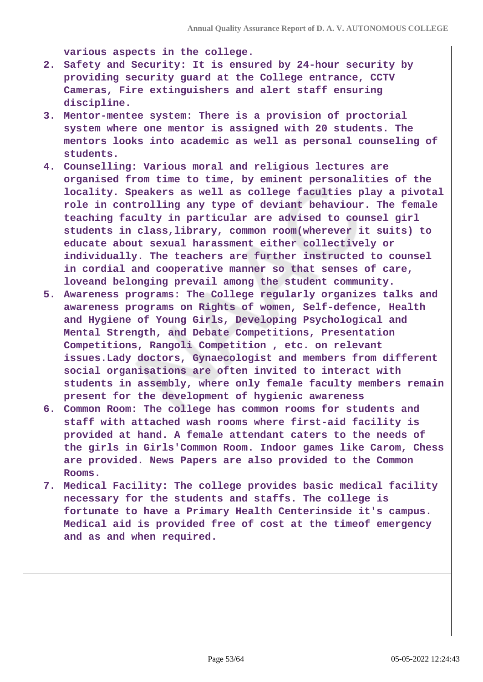**various aspects in the college.**

- **2. Safety and Security: It is ensured by 24-hour security by providing security guard at the College entrance, CCTV Cameras, Fire extinguishers and alert staff ensuring discipline.**
- **3. Mentor-mentee system: There is a provision of proctorial system where one mentor is assigned with 20 students. The mentors looks into academic as well as personal counseling of students.**
- **4. Counselling: Various moral and religious lectures are organised from time to time, by eminent personalities of the locality. Speakers as well as college faculties play a pivotal role in controlling any type of deviant behaviour. The female teaching faculty in particular are advised to counsel girl students in class,library, common room(wherever it suits) to educate about sexual harassment either collectively or individually. The teachers are further instructed to counsel in cordial and cooperative manner so that senses of care, loveand belonging prevail among the student community.**
- **5. Awareness programs: The College regularly organizes talks and awareness programs on Rights of women, Self-defence, Health and Hygiene of Young Girls, Developing Psychological and Mental Strength, and Debate Competitions, Presentation Competitions, Rangoli Competition , etc. on relevant issues.Lady doctors, Gynaecologist and members from different social organisations are often invited to interact with students in assembly, where only female faculty members remain present for the development of hygienic awareness**
- **6. Common Room: The college has common rooms for students and staff with attached wash rooms where first-aid facility is provided at hand. A female attendant caters to the needs of the girls in Girls'Common Room. Indoor games like Carom, Chess are provided. News Papers are also provided to the Common Rooms.**
- **7. Medical Facility: The college provides basic medical facility necessary for the students and staffs. The college is fortunate to have a Primary Health Centerinside it's campus. Medical aid is provided free of cost at the timeof emergency and as and when required.**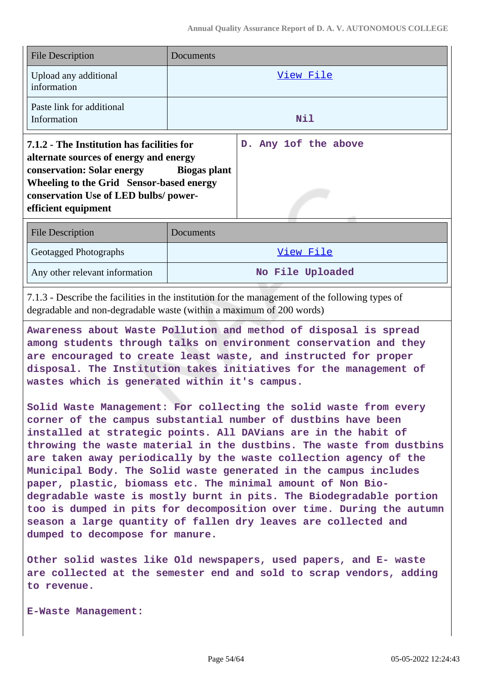| <b>File Description</b>                                                                                                                                                                                                                    | Documents |                      |
|--------------------------------------------------------------------------------------------------------------------------------------------------------------------------------------------------------------------------------------------|-----------|----------------------|
| Upload any additional<br>information                                                                                                                                                                                                       |           | View File            |
| Paste link for additional<br>Information                                                                                                                                                                                                   |           | Nil                  |
| 7.1.2 - The Institution has facilities for<br>alternate sources of energy and energy<br>conservation: Solar energy Biogas plant<br>Wheeling to the Grid Sensor-based energy<br>conservation Use of LED bulbs/power-<br>efficient equipment |           | D. Any 1of the above |
| <b>File Description</b>                                                                                                                                                                                                                    | Documents |                      |
| <b>Geotagged Photographs</b>                                                                                                                                                                                                               |           | View File            |
| Any other relevant information                                                                                                                                                                                                             |           | No File Uploaded     |

7.1.3 - Describe the facilities in the institution for the management of the following types of degradable and non-degradable waste (within a maximum of 200 words)

**Awareness about Waste Pollution and method of disposal is spread among students through talks on environment conservation and they are encouraged to create least waste, and instructed for proper disposal. The Institution takes initiatives for the management of wastes which is generated within it's campus.**

**Solid Waste Management: For collecting the solid waste from every corner of the campus substantial number of dustbins have been installed at strategic points. All DAVians are in the habit of throwing the waste material in the dustbins. The waste from dustbins are taken away periodically by the waste collection agency of the Municipal Body. The Solid waste generated in the campus includes paper, plastic, biomass etc. The minimal amount of Non Biodegradable waste is mostly burnt in pits. The Biodegradable portion too is dumped in pits for decomposition over time. During the autumn season a large quantity of fallen dry leaves are collected and dumped to decompose for manure.**

**Other solid wastes like Old newspapers, used papers, and E- waste are collected at the semester end and sold to scrap vendors, adding to revenue.**

**E-Waste Management:**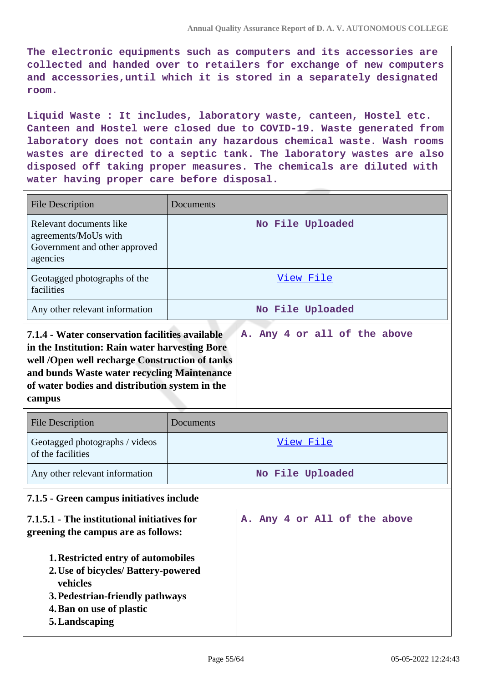**The electronic equipments such as computers and its accessories are collected and handed over to retailers for exchange of new computers and accessories,until which it is stored in a separately designated room.**

**Liquid Waste : It includes, laboratory waste, canteen, Hostel etc. Canteen and Hostel were closed due to COVID-19. Waste generated from laboratory does not contain any hazardous chemical waste. Wash rooms wastes are directed to a septic tank. The laboratory wastes are also disposed off taking proper measures. The chemicals are diluted with water having proper care before disposal.**

| <b>File Description</b>                                                                                                                                                                                                                                        | Documents |                              |
|----------------------------------------------------------------------------------------------------------------------------------------------------------------------------------------------------------------------------------------------------------------|-----------|------------------------------|
| Relevant documents like<br>agreements/MoUs with<br>Government and other approved<br>agencies                                                                                                                                                                   |           | No File Uploaded             |
| Geotagged photographs of the<br>facilities                                                                                                                                                                                                                     |           | View File                    |
| Any other relevant information                                                                                                                                                                                                                                 |           | No File Uploaded             |
| 7.1.4 - Water conservation facilities available<br>in the Institution: Rain water harvesting Bore<br>well /Open well recharge Construction of tanks<br>and bunds Waste water recycling Maintenance<br>of water bodies and distribution system in the<br>campus |           | A. Any 4 or all of the above |
| <b>File Description</b>                                                                                                                                                                                                                                        | Documents |                              |
| Geotagged photographs / videos<br>of the facilities                                                                                                                                                                                                            |           | View File                    |
| Any other relevant information                                                                                                                                                                                                                                 |           | No File Uploaded             |
| 7.1.5 - Green campus initiatives include                                                                                                                                                                                                                       |           |                              |
| 7.1.5.1 - The institutional initiatives for<br>greening the campus are as follows:<br>1. Restricted entry of automobiles<br>2. Use of bicycles/ Battery-powered<br>vehicles<br>3. Pedestrian-friendly pathways<br>4. Ban on use of plastic<br>5. Landscaping   |           | A. Any 4 or All of the above |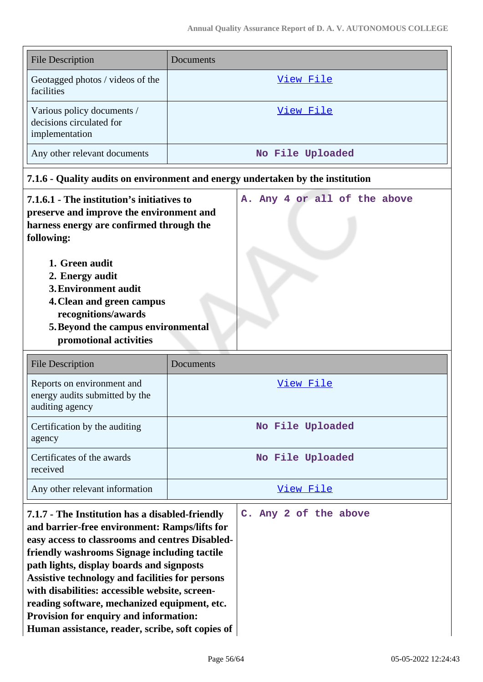| <b>File Description</b>                                                                                                                          | Documents                    |
|--------------------------------------------------------------------------------------------------------------------------------------------------|------------------------------|
| Geotagged photos / videos of the<br>facilities                                                                                                   | View File                    |
| Various policy documents /<br>decisions circulated for<br>implementation                                                                         | View File                    |
| Any other relevant documents                                                                                                                     | No File Uploaded             |
| 7.1.6 - Quality audits on environment and energy undertaken by the institution                                                                   |                              |
| 7.1.6.1 - The institution's initiatives to<br>preserve and improve the environment and<br>harness energy are confirmed through the<br>following: | A. Any 4 or all of the above |

- **1. Green audit**
- **2. Energy audit**
- **3.Environment audit**
- **4.Clean and green campus recognitions/awards**
- **5.Beyond the campus environmental**
- **promotional activities**

| <b>File Description</b>                                                         | Documents        |
|---------------------------------------------------------------------------------|------------------|
| Reports on environment and<br>energy audits submitted by the<br>auditing agency | View File        |
| Certification by the auditing<br>agency                                         | No File Uploaded |
| Certificates of the awards<br>received                                          | No File Uploaded |
| Any other relevant information                                                  | View File        |

**7.1.7 - The Institution has a disabled-friendly and barrier-free environment: Ramps/lifts for easy access to classrooms and centres Disabledfriendly washrooms Signage including tactile path lights, display boards and signposts Assistive technology and facilities for persons with disabilities: accessible website, screenreading software, mechanized equipment, etc. Provision for enquiry and information: Human assistance, reader, scribe, soft copies of**

**C. Any 2 of the above**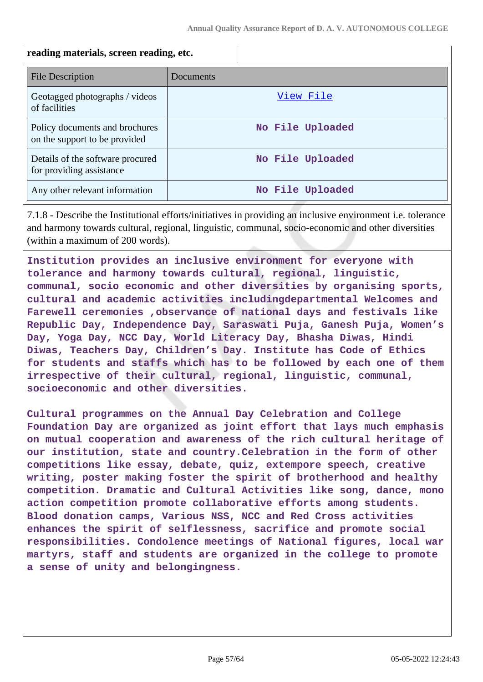#### **reading materials, screen reading, etc.**

| <b>File Description</b>                                         | Documents        |
|-----------------------------------------------------------------|------------------|
| Geotagged photographs / videos<br>of facilities                 | View File        |
| Policy documents and brochures<br>on the support to be provided | No File Uploaded |
| Details of the software procured<br>for providing assistance    | No File Uploaded |
| Any other relevant information                                  | No File Uploaded |

7.1.8 - Describe the Institutional efforts/initiatives in providing an inclusive environment i.e. tolerance and harmony towards cultural, regional, linguistic, communal, socio-economic and other diversities (within a maximum of 200 words).

**Institution provides an inclusive environment for everyone with tolerance and harmony towards cultural, regional, linguistic, communal, socio economic and other diversities by organising sports, cultural and academic activities includingdepartmental Welcomes and Farewell ceremonies ,observance of national days and festivals like Republic Day, Independence Day, Saraswati Puja, Ganesh Puja, Women's Day, Yoga Day, NCC Day, World Literacy Day, Bhasha Diwas, Hindi Diwas, Teachers Day, Children's Day. Institute has Code of Ethics for students and staffs which has to be followed by each one of them irrespective of their cultural, regional, linguistic, communal, socioeconomic and other diversities.**

**Cultural programmes on the Annual Day Celebration and College Foundation Day are organized as joint effort that lays much emphasis on mutual cooperation and awareness of the rich cultural heritage of our institution, state and country.Celebration in the form of other competitions like essay, debate, quiz, extempore speech, creative writing, poster making foster the spirit of brotherhood and healthy competition. Dramatic and Cultural Activities like song, dance, mono action competition promote collaborative efforts among students. Blood donation camps, Various NSS, NCC and Red Cross activities enhances the spirit of selflessness, sacrifice and promote social responsibilities. Condolence meetings of National figures, local war martyrs, staff and students are organized in the college to promote a sense of unity and belongingness.**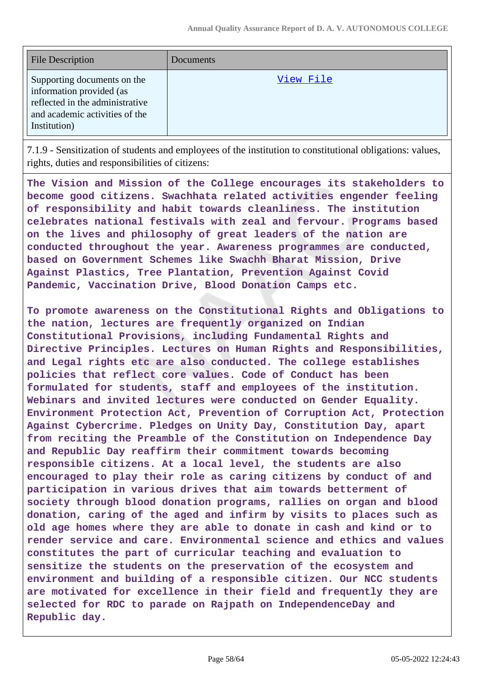| <b>File Description</b>                                                                                                                      | Documents |
|----------------------------------------------------------------------------------------------------------------------------------------------|-----------|
| Supporting documents on the<br>information provided (as<br>reflected in the administrative<br>and academic activities of the<br>Institution) | View File |

7.1.9 - Sensitization of students and employees of the institution to constitutional obligations: values, rights, duties and responsibilities of citizens:

**The Vision and Mission of the College encourages its stakeholders to become good citizens. Swachhata related activities engender feeling of responsibility and habit towards cleanliness. The institution celebrates national festivals with zeal and fervour. Programs based on the lives and philosophy of great leaders of the nation are conducted throughout the year. Awareness programmes are conducted, based on Government Schemes like Swachh Bharat Mission, Drive Against Plastics, Tree Plantation, Prevention Against Covid Pandemic, Vaccination Drive, Blood Donation Camps etc.**

**To promote awareness on the Constitutional Rights and Obligations to the nation, lectures are frequently organized on Indian Constitutional Provisions, including Fundamental Rights and Directive Principles. Lectures on Human Rights and Responsibilities, and Legal rights etc are also conducted. The college establishes policies that reflect core values. Code of Conduct has been formulated for students, staff and employees of the institution. Webinars and invited lectures were conducted on Gender Equality. Environment Protection Act, Prevention of Corruption Act, Protection Against Cybercrime. Pledges on Unity Day, Constitution Day, apart from reciting the Preamble of the Constitution on Independence Day and Republic Day reaffirm their commitment towards becoming responsible citizens. At a local level, the students are also encouraged to play their role as caring citizens by conduct of and participation in various drives that aim towards betterment of society through blood donation programs, rallies on organ and blood donation, caring of the aged and infirm by visits to places such as old age homes where they are able to donate in cash and kind or to render service and care. Environmental science and ethics and values constitutes the part of curricular teaching and evaluation to sensitize the students on the preservation of the ecosystem and environment and building of a responsible citizen. Our NCC students are motivated for excellence in their field and frequently they are selected for RDC to parade on Rajpath on IndependenceDay and Republic day.**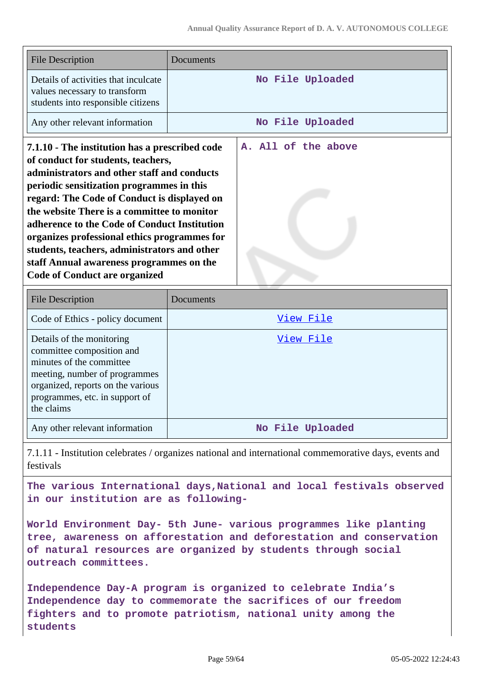| <b>File Description</b>                                                                                                                                                                                                                                                                                                                                                                                                                                                                                            | Documents           |
|--------------------------------------------------------------------------------------------------------------------------------------------------------------------------------------------------------------------------------------------------------------------------------------------------------------------------------------------------------------------------------------------------------------------------------------------------------------------------------------------------------------------|---------------------|
| Details of activities that inculcate<br>values necessary to transform<br>students into responsible citizens                                                                                                                                                                                                                                                                                                                                                                                                        | No File Uploaded    |
| Any other relevant information                                                                                                                                                                                                                                                                                                                                                                                                                                                                                     | No File Uploaded    |
| 7.1.10 - The institution has a prescribed code<br>of conduct for students, teachers,<br>administrators and other staff and conducts<br>periodic sensitization programmes in this<br>regard: The Code of Conduct is displayed on<br>the website There is a committee to monitor<br>adherence to the Code of Conduct Institution<br>organizes professional ethics programmes for<br>students, teachers, administrators and other<br>staff Annual awareness programmes on the<br><b>Code of Conduct are organized</b> | A. All of the above |
| <b>File Description</b>                                                                                                                                                                                                                                                                                                                                                                                                                                                                                            | Documents           |
| Code of Ethics - policy document                                                                                                                                                                                                                                                                                                                                                                                                                                                                                   | View File           |
| Details of the monitoring<br>committee composition and<br>minutes of the committee<br>meeting, number of programmes<br>organized, reports on the various<br>programmes, etc. in support of<br>the claims                                                                                                                                                                                                                                                                                                           | <u>View File</u>    |
| Any other relevant information                                                                                                                                                                                                                                                                                                                                                                                                                                                                                     | No File Uploaded    |

7.1.11 - Institution celebrates / organizes national and international commemorative days, events and festivals

**The various International days,National and local festivals observed in our institution are as following-**

**World Environment Day- 5th June- various programmes like planting tree, awareness on afforestation and deforestation and conservation of natural resources are organized by students through social outreach committees.**

**Independence Day-A program is organized to celebrate India's Independence day to commemorate the sacrifices of our freedom fighters and to promote patriotism, national unity among the students**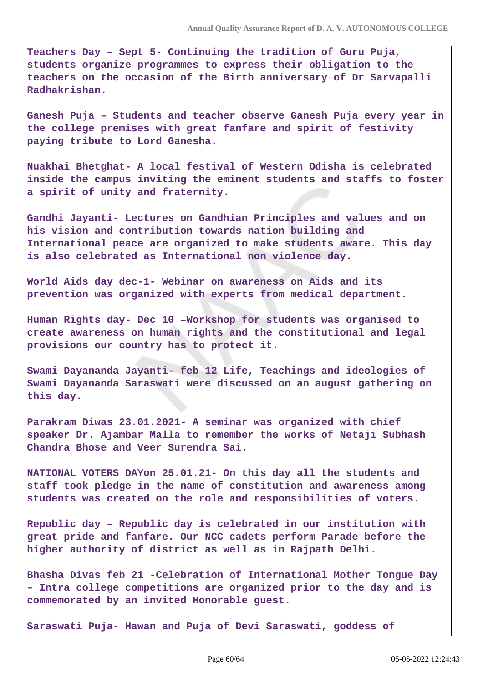**Teachers Day – Sept 5- Continuing the tradition of Guru Puja, students organize programmes to express their obligation to the teachers on the occasion of the Birth anniversary of Dr Sarvapalli Radhakrishan.**

**Ganesh Puja – Students and teacher observe Ganesh Puja every year in the college premises with great fanfare and spirit of festivity paying tribute to Lord Ganesha.**

**Nuakhai Bhetghat- A local festival of Western Odisha is celebrated inside the campus inviting the eminent students and staffs to foster a spirit of unity and fraternity.**

**Gandhi Jayanti- Lectures on Gandhian Principles and values and on his vision and contribution towards nation building and International peace are organized to make students aware. This day is also celebrated as International non violence day.**

**World Aids day dec-1- Webinar on awareness on Aids and its prevention was organized with experts from medical department.**

**Human Rights day- Dec 10 –Workshop for students was organised to create awareness on human rights and the constitutional and legal provisions our country has to protect it.**

**Swami Dayananda Jayanti- feb 12 Life, Teachings and ideologies of Swami Dayananda Saraswati were discussed on an august gathering on this day.**

**Parakram Diwas 23.01.2021- A seminar was organized with chief speaker Dr. Ajambar Malla to remember the works of Netaji Subhash Chandra Bhose and Veer Surendra Sai.**

**NATIONAL VOTERS DAYon 25.01.21- On this day all the students and staff took pledge in the name of constitution and awareness among students was created on the role and responsibilities of voters.**

**Republic day – Republic day is celebrated in our institution with great pride and fanfare. Our NCC cadets perform Parade before the higher authority of district as well as in Rajpath Delhi.**

**Bhasha Divas feb 21 -Celebration of International Mother Tongue Day – Intra college competitions are organized prior to the day and is commemorated by an invited Honorable guest.**

**Saraswati Puja- Hawan and Puja of Devi Saraswati, goddess of**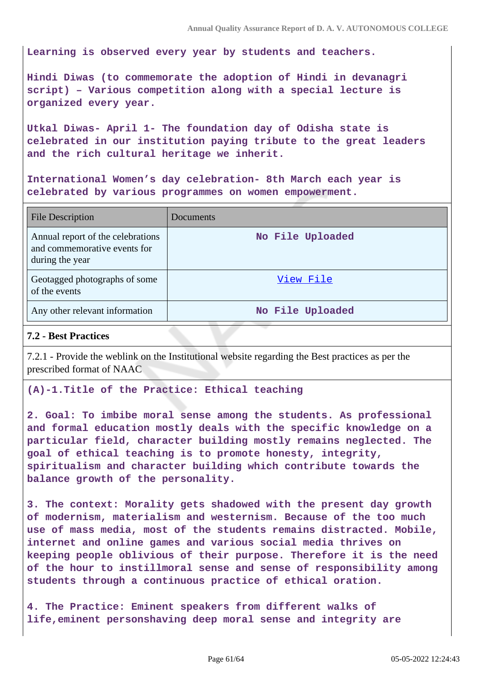**Learning is observed every year by students and teachers.**

**Hindi Diwas (to commemorate the adoption of Hindi in devanagri script) – Various competition along with a special lecture is organized every year.**

**Utkal Diwas- April 1- The foundation day of Odisha state is celebrated in our institution paying tribute to the great leaders and the rich cultural heritage we inherit.**

**International Women's day celebration- 8th March each year is celebrated by various programmes on women empowerment.**

| <b>File Description</b>                                                              | Documents        |
|--------------------------------------------------------------------------------------|------------------|
| Annual report of the celebrations<br>and commemorative events for<br>during the year | No File Uploaded |
| Geotagged photographs of some<br>of the events                                       | View File        |
| Any other relevant information                                                       | No File Uploaded |

#### **7.2 - Best Practices**

7.2.1 - Provide the weblink on the Institutional website regarding the Best practices as per the prescribed format of NAAC

#### **(A)-1.Title of the Practice: Ethical teaching**

**2. Goal: To imbibe moral sense among the students. As professional and formal education mostly deals with the specific knowledge on a particular field, character building mostly remains neglected. The goal of ethical teaching is to promote honesty, integrity, spiritualism and character building which contribute towards the balance growth of the personality.**

**3. The context: Morality gets shadowed with the present day growth of modernism, materialism and westernism. Because of the too much use of mass media, most of the students remains distracted. Mobile, internet and online games and various social media thrives on keeping people oblivious of their purpose. Therefore it is the need of the hour to instillmoral sense and sense of responsibility among students through a continuous practice of ethical oration.**

**4. The Practice: Eminent speakers from different walks of life,eminent personshaving deep moral sense and integrity are**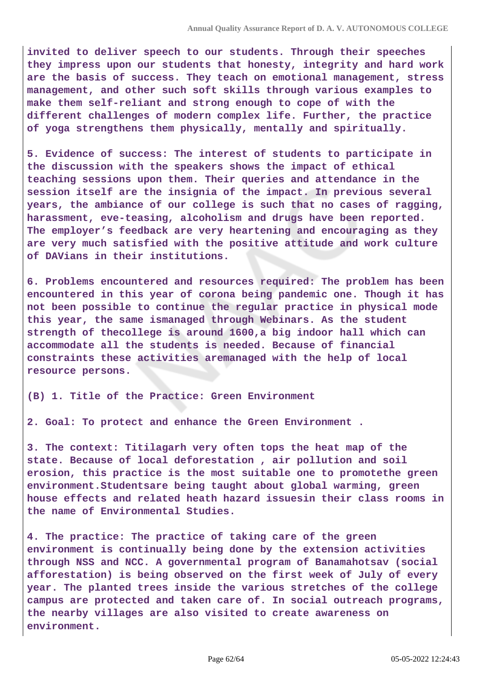**invited to deliver speech to our students. Through their speeches they impress upon our students that honesty, integrity and hard work are the basis of success. They teach on emotional management, stress management, and other such soft skills through various examples to make them self-reliant and strong enough to cope of with the different challenges of modern complex life. Further, the practice of yoga strengthens them physically, mentally and spiritually.**

**5. Evidence of success: The interest of students to participate in the discussion with the speakers shows the impact of ethical teaching sessions upon them. Their queries and attendance in the session itself are the insignia of the impact. In previous several years, the ambiance of our college is such that no cases of ragging, harassment, eve-teasing, alcoholism and drugs have been reported. The employer's feedback are very heartening and encouraging as they are very much satisfied with the positive attitude and work culture of DAVians in their institutions.**

**6. Problems encountered and resources required: The problem has been encountered in this year of corona being pandemic one. Though it has not been possible to continue the regular practice in physical mode this year, the same ismanaged through Webinars. As the student strength of thecollege is around 1600,a big indoor hall which can accommodate all the students is needed. Because of financial constraints these activities aremanaged with the help of local resource persons.**

**(B) 1. Title of the Practice: Green Environment**

**2. Goal: To protect and enhance the Green Environment .**

**3. The context: Titilagarh very often tops the heat map of the state. Because of local deforestation , air pollution and soil erosion, this practice is the most suitable one to promotethe green environment.Studentsare being taught about global warming, green house effects and related heath hazard issuesin their class rooms in the name of Environmental Studies.**

**4. The practice: The practice of taking care of the green environment is continually being done by the extension activities through NSS and NCC. A governmental program of Banamahotsav (social afforestation) is being observed on the first week of July of every year. The planted trees inside the various stretches of the college campus are protected and taken care of. In social outreach programs, the nearby villages are also visited to create awareness on environment.**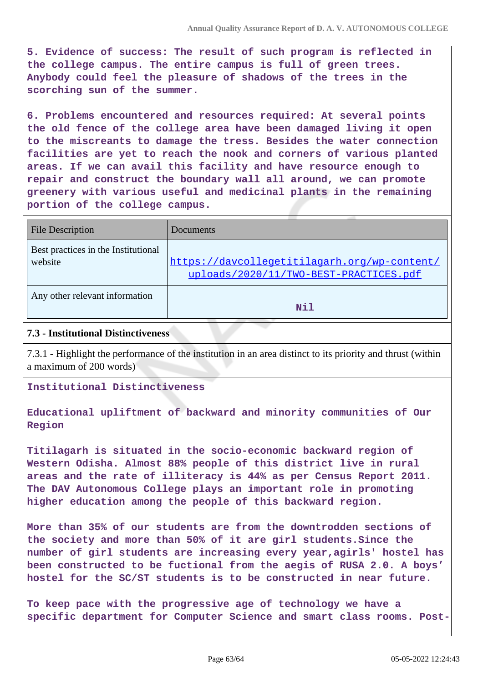**5. Evidence of success: The result of such program is reflected in the college campus. The entire campus is full of green trees. Anybody could feel the pleasure of shadows of the trees in the scorching sun of the summer.**

**6. Problems encountered and resources required: At several points the old fence of the college area have been damaged living it open to the miscreants to damage the tress. Besides the water connection facilities are yet to reach the nook and corners of various planted areas. If we can avail this facility and have resource enough to repair and construct the boundary wall all around, we can promote greenery with various useful and medicinal plants in the remaining portion of the college campus.**

| <b>File Description</b>                        | <b>Documents</b>                                                                       |
|------------------------------------------------|----------------------------------------------------------------------------------------|
| Best practices in the Institutional<br>website | https://davcollegetitilagarh.org/wp-content/<br>uploads/2020/11/TWO-BEST-PRACTICES.pdf |
| Any other relevant information                 | Nil                                                                                    |

#### **7.3 - Institutional Distinctiveness**

7.3.1 - Highlight the performance of the institution in an area distinct to its priority and thrust (within a maximum of 200 words)

**Institutional Distinctiveness**

**Educational upliftment of backward and minority communities of Our Region**

**Titilagarh is situated in the socio-economic backward region of Western Odisha. Almost 88% people of this district live in rural areas and the rate of illiteracy is 44% as per Census Report 2011. The DAV Autonomous College plays an important role in promoting higher education among the people of this backward region.**

**More than 35% of our students are from the downtrodden sections of the society and more than 50% of it are girl students.Since the number of girl students are increasing every year,agirls' hostel has been constructed to be fuctional from the aegis of RUSA 2.0. A boys' hostel for the SC/ST students is to be constructed in near future.**

**To keep pace with the progressive age of technology we have a specific department for Computer Science and smart class rooms. Post-**